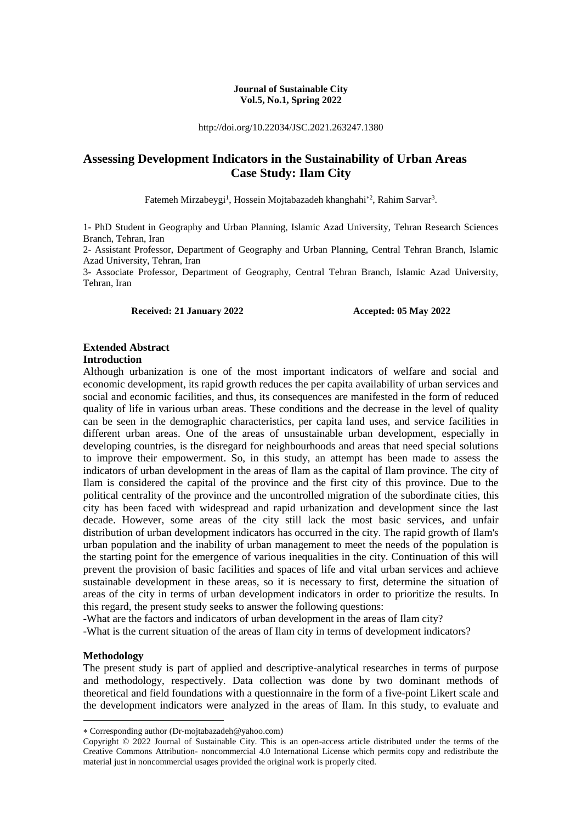#### **Journal of Sustainable City Vol.5, No.1, Spring 2022**

http://doi.org/10.22034/JSC.2021.263247.1380

# **Assessing Development Indicators in the Sustainability of Urban Areas Case Study: Ilam City**

Fatemeh Mirzabeygi<sup>1</sup>, Hossein Mojtabazadeh khanghahi<sup>\*2</sup>, Rahim Sarvar<sup>3</sup>.

1- PhD Student in Geography and Urban Planning, Islamic Azad University, Tehran Research Sciences Branch, Tehran, Iran

2- Assistant Professor, Department of Geography and Urban Planning, Central Tehran Branch, Islamic Azad University, Tehran, Iran

3- Associate Professor, Department of Geography, Central Tehran Branch, Islamic Azad University, Tehran, Iran

**Received: 21 January 2022 Accepted: 05 May 2022**

#### **Extended Abstract Introduction**

Although urbanization is one of the most important indicators of welfare and social and economic development, its rapid growth reduces the per capita availability of urban services and social and economic facilities, and thus, its consequences are manifested in the form of reduced quality of life in various urban areas. These conditions and the decrease in the level of quality can be seen in the demographic characteristics, per capita land uses, and service facilities in different urban areas. One of the areas of unsustainable urban development, especially in developing countries, is the disregard for neighbourhoods and areas that need special solutions to improve their empowerment. So, in this study, an attempt has been made to assess the indicators of urban development in the areas of Ilam as the capital of Ilam province. The city of Ilam is considered the capital of the province and the first city of this province. Due to the political centrality of the province and the uncontrolled migration of the subordinate cities, this city has been faced with widespread and rapid urbanization and development since the last decade. However, some areas of the city still lack the most basic services, and unfair distribution of urban development indicators has occurred in the city. The rapid growth of Ilam's urban population and the inability of urban management to meet the needs of the population is the starting point for the emergence of various inequalities in the city. Continuation of this will prevent the provision of basic facilities and spaces of life and vital urban services and achieve sustainable development in these areas, so it is necessary to first, determine the situation of areas of the city in terms of urban development indicators in order to prioritize the results. In this regard, the present study seeks to answer the following questions:

-What are the factors and indicators of urban development in the areas of Ilam city?

-What is the current situation of the areas of Ilam city in terms of development indicators?

#### **Methodology**

1

The present study is part of applied and descriptive-analytical researches in terms of purpose and methodology, respectively. Data collection was done by two dominant methods of theoretical and field foundations with a questionnaire in the form of a five-point Likert scale and the development indicators were analyzed in the areas of Ilam. In this study, to evaluate and

Corresponding author (Dr-mojtabazadeh@yahoo.com)

Copyright © 2022 Journal of Sustainable City. This is an open-access article distributed under the terms of the Creative Commons Attribution- noncommercial 4.0 International License which permits copy and redistribute the material just in noncommercial usages provided the original work is properly cited.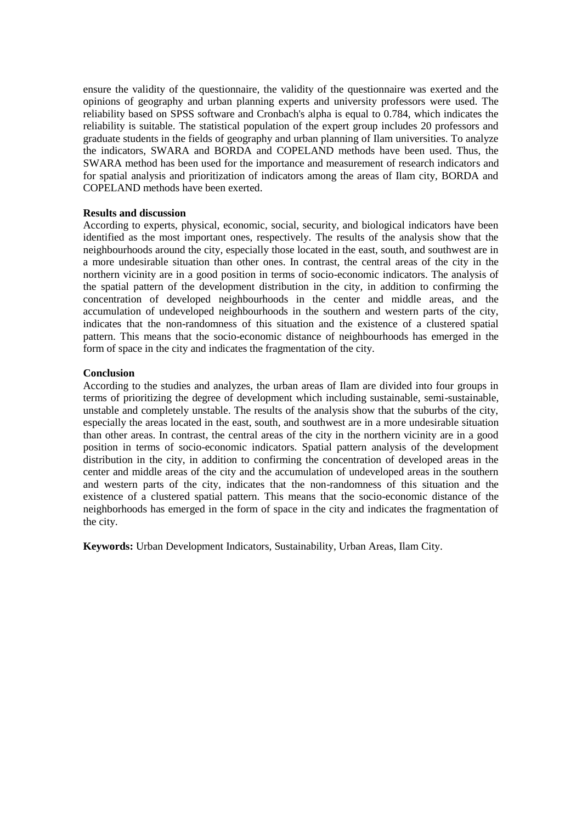ensure the validity of the questionnaire, the validity of the questionnaire was exerted and the opinions of geography and urban planning experts and university professors were used. The reliability based on SPSS software and Cronbach's alpha is equal to 0.784, which indicates the reliability is suitable. The statistical population of the expert group includes 20 professors and graduate students in the fields of geography and urban planning of Ilam universities. To analyze the indicators, SWARA and BORDA and COPELAND methods have been used. Thus, the SWARA method has been used for the importance and measurement of research indicators and for spatial analysis and prioritization of indicators among the areas of Ilam city, BORDA and COPELAND methods have been exerted.

#### **Results and discussion**

According to experts, physical, economic, social, security, and biological indicators have been identified as the most important ones, respectively. The results of the analysis show that the neighbourhoods around the city, especially those located in the east, south, and southwest are in a more undesirable situation than other ones. In contrast, the central areas of the city in the northern vicinity are in a good position in terms of socio-economic indicators. The analysis of the spatial pattern of the development distribution in the city, in addition to confirming the concentration of developed neighbourhoods in the center and middle areas, and the accumulation of undeveloped neighbourhoods in the southern and western parts of the city, indicates that the non-randomness of this situation and the existence of a clustered spatial pattern. This means that the socio-economic distance of neighbourhoods has emerged in the form of space in the city and indicates the fragmentation of the city.

#### **Conclusion**

According to the studies and analyzes, the urban areas of Ilam are divided into four groups in terms of prioritizing the degree of development which including sustainable, semi-sustainable, unstable and completely unstable. The results of the analysis show that the suburbs of the city, especially the areas located in the east, south, and southwest are in a more undesirable situation than other areas. In contrast, the central areas of the city in the northern vicinity are in a good position in terms of socio-economic indicators. Spatial pattern analysis of the development distribution in the city, in addition to confirming the concentration of developed areas in the center and middle areas of the city and the accumulation of undeveloped areas in the southern and western parts of the city, indicates that the non-randomness of this situation and the existence of a clustered spatial pattern. This means that the socio-economic distance of the neighborhoods has emerged in the form of space in the city and indicates the fragmentation of the city.

**Keywords:** Urban Development Indicators, Sustainability, Urban Areas, Ilam City.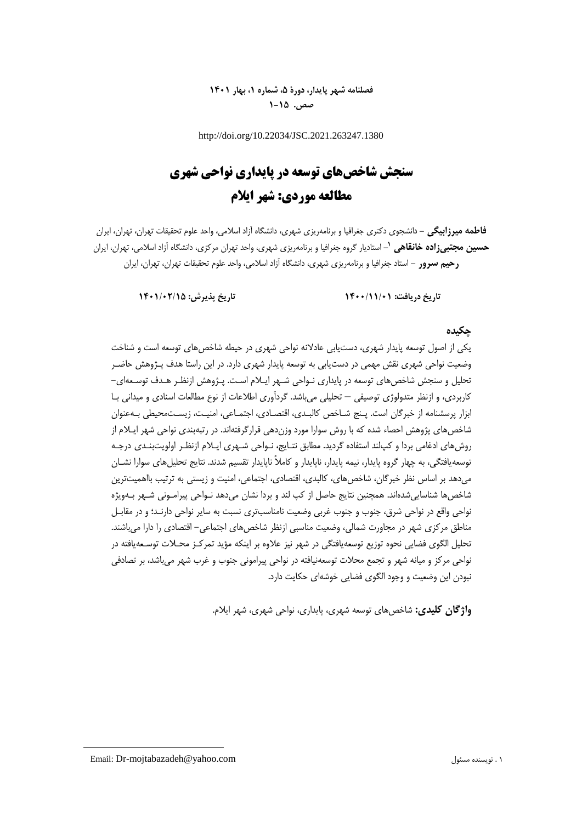# **فصلنامه شهر پایدار، دورۀ ،5 شماره ،1 بهار 1401 صص. 1-15**

http://doi.org/10.22034/JSC.2021.263247.1380

# **سنجش شاخصهای توسعه در پایداری نواحی شهری مطالعه موردی: شهر ایالم**

**فاطمه میرزابیگی -** دانشجوی دکتری جغرافیا و برنامهریزی شهری، دانشگاه آزاد اسالمی، واحد علوم تحقیقات تهران، تهران، ایران **-** استادیار گروه جغرافیا و برنامهریزی شهری، واحد تهران مرکزی، دانشگاه آزاد اسالمی، تهران، ایران **<sup>1</sup> حسین مجتبیزاده خانقاهی رحیم سرور -** استاد جغرافیا و برنامهریزی شهری، دانشگاه آزاد اسالمی، واحد علوم تحقیقات تهران، تهران، ایران

**تاریخ دریافت: 1400/11/01 تاریخ پذیرش: 1401/02/15**

# **چکیده**

یکی از اصول توسعه پایدار شهری، دستیابی عادالنه نواحی شهری در حیطه شاخصهای توسعه است و شناخت وضعیت نواحی شهری نقش مهمی در دستیابی به توسعه پایدار شهری دارد. در این راستا هدف پـژوهش حاضـر تحلیل و سنجش شاخصهای توسعه در پایداری نـواحی شـهر ایـالم اسـت. پـژوهش ازنظـر هـدف توسـعهای- کاربردی، و ازنظر متدولوژی توصیفی – تحلیلی میباشد. گردآوری اطالعات از نوع مطالعات اسنادی و میدانی بـا ابزار پرسشنامه از خبرگان است. پـن شـاخص کالبـدی، اقتصـادی، اجتمـاعی، امنیـت، زیسـتمحیطی بـهعنوان شاخصهای پژوهش احصاء شده که با روش سوارا مورد وزندهی قرارگرفتهاند. در رتبهبندی نواحی شهر ایـالم از روش های ادغامی بردا و کپانند استفاده گردید. مطابق نتـایج، نـواحی شـهری ایـلام ازنظـر اولویتبنـدی درجـه توسعهیافتگی، به چهار گروه پایدار، نیمه پایدار، ناپایدار و کاملاً ناپایدار تقسیم شدند. نتایج تحلیلهای سوارا نشـان میدهد بر اساس نظر خبرگان، شاخصهای، کالبدی، اقتصادی، اجتماعی، امنیت و زیستی به ترتیب بااهمیتترین شاخصها شناساییشدهاند. همچنین نتایج حاصل از کپ لند و بردا نشان میدهد نـواحی پیرامـونی شـهر بـهویژه نواحی واقع در نواحی شرق، جنوب و جنوب غربی وضعیت نامناسبتری نسبت به سایر نواحی دارنـد؛ و در مقابـل مناطق مرکزی شهر در مجاورت شمالی، وضعیت مناسبی ازنظر شاخصهای اجتماعی- اقتصادی را دارا میباشند. تحلیل الگوی فضایی نحوه توزیع توسعهیافتگی در شهر نیز عالوه بر اینکه مؤید تمرکـز محـالت توسـعهیافته در نواحی مرکز و میانه شهر و تجمع محالت توسعهنیافته در نواحی پیرامونی جنوب و غرب شهر میباشد، بر تصادفی نبودن این وضعیت و وجود الگوی فضایی خوشهای حکایت دارد.

**واژگان کلیدی:** شاخصهای توسعه شهری، پایداری، نواحی شهری، شهر ایالم.

**.**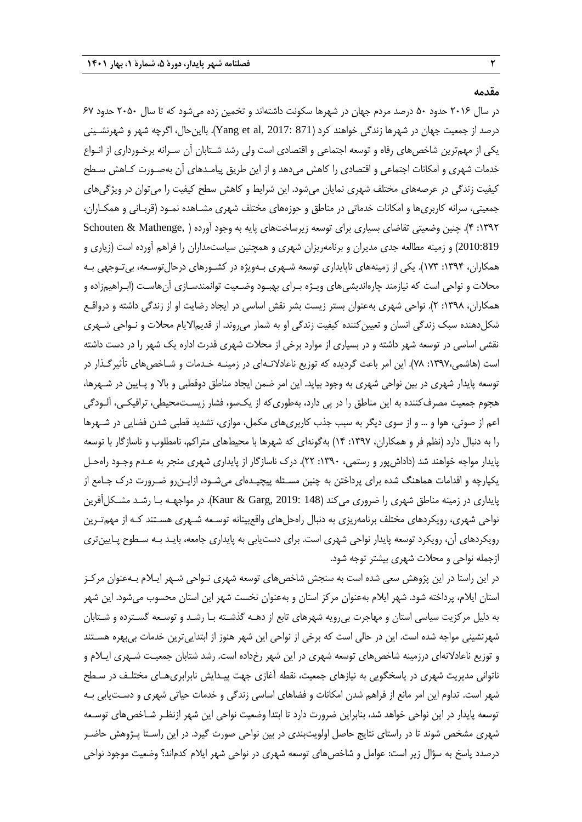**مقدمه**

در سال 5101 حدود 21 درصد مردم جهان در شهرها سکونت داشتهاند و تخمین زده میشود که تا سال 5121 حدود 17 درصد از جمعیت جهان در شهرها زندگی خواهند کرد (871 :2017 , Yang et al, 2017). بااین حال، اگرچه شهر و شهرنشـینی یکی از مهمترین شاخصهای رفاه و توسعه اجتماعی و اقتصادی است ولی رشد شـتابان آن سـرانه برخـورداری از انـواع خدمات شهری و امکانات اجتماعی و اقتصادی را کاهش میدهد و از این طریق پیامـدهای آن بهصـورت کـاهش سـطح کیفیت زندگی در عرصههای مختلف شهری نمایان میشود. این شرایط و کاهش سطح کیفیت را میتوان در ویژگیهای جمعیتی، سرانه کاربریها و امکانات خدماتی در مناطق و حوزههای مختلف شهری مشـاهده نمـود )قربـانی و همکـاران، :0335 1(. چنین وضعیتی تقاضای بسیاری برای توسعه زیرساختهای پایه به وجود آورده ) ,Mathenge & Schouten 2010:819( و زمینه مطالعه جدی مدیران و برنامهریزان شهری و همچنین سیاستمداران را فراهم آورده است )زیاری و همکاران، :0331 073(. یکی از زمینههای ناپایداری توسعه شـهری بـهویژه در کشـورهای درحالتوسـعه، بیتـوجهی بـه محالت و نواحی است که نیازمند چارهاندیشیهای ویـژه بـرای بهبـود وضـعیت توانمندسـازی آنهاسـت )ابـراهیمزاده و همکاران، :0331 5(. نواحی شهری بهعنوان بستر زیست بشر نقش اساسی در ایجاد رضایت او از زندگی داشته و درواقـع شکلدهنده سبک زندگی انسان و تعیینکننده کیفیت زندگی او به شمار میروند. از قدیماالیام محالت و نـواحی شـهری نقشی اساسی در توسعه شهر داشته و در بسیاری از موارد برخی از محالت شهری قدرت اداره یک شهر را در دست داشته است (هاشمی،١٣٩٧: ٧٨). این امر باعث گردیده که توزیع ناعادلانـهای در زمینـه خـدمات و شـاخصهای تأثیرگـذار در توسعه پایدار شهری در بین نواحی شهری به وجود بیاید. این امر ضمن ایجاد مناطق دوقطبی و باال و پـایین در شـهرها، هجوم جمعیت مصرفکننده به این مناطق را در پی دارد، بهطوریکه از یکسو، فشار زیسـتمحیطی، ترافیکـی، آلـودگی اعم از صوتی، هوا و ... و از سوی دیگر به سبب جذب کاربریهای مکمل، موازی، تشدید قطبی شدن فضایی در شـهرها را به دنبال دارد (نظم فر و همکاران، ۱۳۹۷: ۱۴) بهگونهای که شهرها با محیطهای متراکم، نامطلوب و ناسازگار با توسعه پایدار مواجه خواهند شد (داداشپور و رستمی، ۱۳۹۰: ۲۲). درک ناسازگار از پایداری شهری منجر به عـدم وجـود راهحـل یکپارچه و اقدامات هماهنگ شده برای پرداختن به چنین مسـئله پیچیـدهای میشـود، ازایـنرو ضـرورت درك جـامع از پایداری در زمینه مناطق شهری را ضروری میکند (148 :Kaur & Garg, 2019). در مواجهـه بـا رشـد مشـکل[فرین نواحی شهری، رویکردهای مختلف برنامهریزی به دنبال راهحلهای واقعبینانه توسـعه شـهری هسـتند کـه از مهمتـرین رویکردهای آن، رویکرد توسعه پایدار نواحی شهری است. برای دستیابی به پایداری جامعه، بایـد بـه سـطوح پـایینتری ازجمله نواحی و محالت شهری بیشتر توجه شود.

در این راستا در این پژوهش سعی شده است به سنجش شاخصهای توسعه شهری نـواحی شـهر ایـالم بـهعنوان مرکـز استان ایالم، پرداخته شود. شهر ایالم بهعنوان مرکز استان و بهعنوان نخست شهر این استان محسوب میشود. این شهر به دلیل مرکزیت سیاسی استان و مهاجرت بیرویه شهرهای تابع از دهـه گذشـته بـا رشـد و توسـعه گسـترده و شـتابان شهرنشینی مواجه شده است. این در حالی است که برخی از نواحی این شهر هنوز از ابتداییترین خدمات بیبهره هسـتند و توزیع ناعادالنهای درزمینه شاخصهای توسعه شهری در این شهر رخداده است. رشد شتابان جمعیـت شـهری ایـالم و ناتوانی مدیریت شهری در پاسخگویی به نیازهای جمعیت، نقطه آغازی جهت پیـدایش نابرابریهـای مختلـف در سـطح شهر است. تداوم این امر مانع از فراهم شدن امکانات و فضاهای اساسی زندگی و خدمات حیاتی شهری و دسـتیابی بـه توسعه پایدار در این نواحی خواهد شد، بنابراین ضرورت دارد تا ابتدا وضعیت نواحی این شهر ازنظـر شـاخصهای توسـعه شهری مشخص شوند تا در راستای نتایج حاصل اولویتبندی در بین نواحی صورت گیرد. در این راسـتا پـژوهش حاضـر درصدد پاسخ به سؤال زیر است: عوامل و شاخصهای توسعه شهری در نواحی شهر ایالم کدماند؟ وضعیت موجود نواحی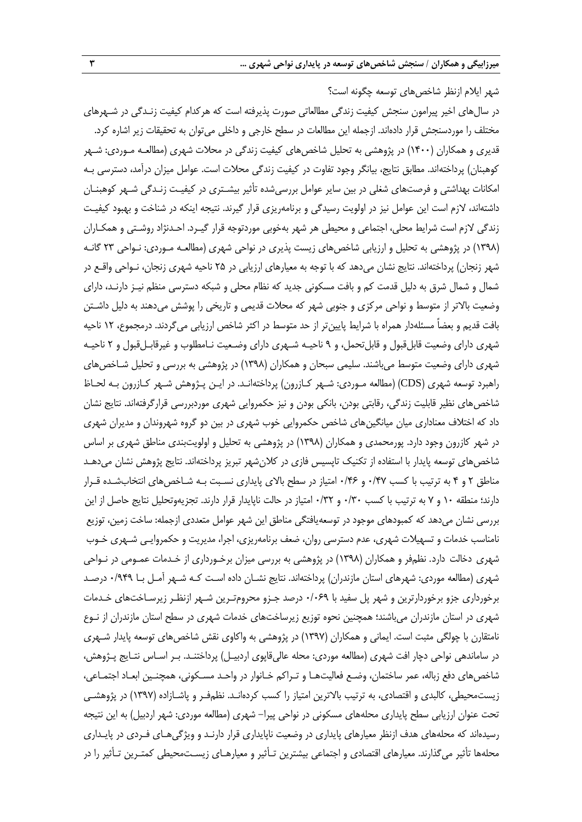شهر ایالم ازنظر شاخصهای توسعه چگونه است؟ در سالهای اخیر پیرامون سنجش کیفیت زندگی مطالعاتی صورت پذیرفته است که هرکدام کیفیت زنـدگی در شـهرهای مختلف را موردسنجش قرار دادهاند. ازجمله این مطالعات در سطح خارجی و داخلی میتوان به تحقیقات زیر اشاره کرد. قدیری و همکاران (۱۴۰۰) در پژوهشی به تحلیل شاخصهای کیفیت زندگی در محلات شهری (مطالعـه مـوردی: شـهر کوهبنان) پرداختهاند. مطابق نتایج، بیانگر وجود تفاوت در کیفیت زندگی محلات است. عوامل میزان درآمد، دسترسی بـه امکانات بهداشتی و فرصتهای شغلی در بین سایر عوامل بررسیشده تأثیر بیشـتری در کیفیـت زنـدگی شـهر کوهبنـان داشتهاند، الزم است این عوامل نیز در اولویت رسیدگی و برنامهریزی قرار گیرند. نتیجه اینکه در شناخت و بهبود کیفیـت زندگی لازم است شرایط محلی، اجتماعی و محیطی هر شهر بهخوبی موردتوجه قرار گیـرد. احـدنژاد روشـتی و همکـاران )0331( در پژوهشی به تحلیل و ارزیابی شاخصهای زیست پذیری در نواحی شهری )مطالعـه مـوردی: نـواحی 53 گانـه شهر زنجان) پرداختهاند. نتایج نشان میدهد که با توجه به معیارهای ارزیابی در ۲۵ ناحیه شهری زنجان، نـواحی واقـع در شمال و شمال شرق به دلیل قدمت کم و بافت مسکونی جدید که نظام محلی و شبکه دسترسی منظم نیـز دارنـد، دارای وضعیت بالاتر از متوسط و نواحی مرکزی و جنوبی شهر که محلات قدیمی و تاریخی را پوشش میدهند به دلیل داشـتن بافت قدیم و بعضاً مسئلهدار همراه با شرایط پایین تر از حد متوسط در اکثر شاخص ارزیابی میگردند. درمجموع، ١٢ ناحیه شهری دارای وضعیت قابلقبول و قابلتحمل، و 3 ناحیـه شـهری دارای وضـعیت نـامطلوب و غیرقابـلقبول و 5 ناحیـه شهری دارای وضعیت متوسط میباشند. سلیمی سبحان و همکاران (۱۳۹۸) در پژوهشی به بررسی و تحلیل شـاخصهای راهبرد توسعه شهری (CDS) (مطالعه مـوردی: شـهر کـازرون) پرداختهانـد. در ایـن پـژوهش شـهر کـازرون بـه لحـاظ شاخصهای نظیر قابلیت زندگی، رقابتی بودن، بانکی بودن و نیز حکمروایی شهری موردبررسی قرارگرفتهاند. نتایج نشان داد که اختالف معناداری میان میانگینهای شاخص حکمروایی خوب شهری در بین دو گروه شهروندان و مدیران شهری در شهر کازرون وجود دارد. پورمحمدی و همکاران (۱۳۹۸) در پژوهشی به تحلیل و اولویتبندی مناطق شهری بر اساس شاخصهای توسعه پایدار با استفاده از تکنیک تاپسیس فازی در کلانشهر تبریز پرداختهاند. نتایج پژوهش نشان میدهـد مناطق 5 و 1 به ترتیب با کسب 1/17 و 1/11 امتیاز در سطح باالی پایداری نسـبت بـه شـاخصهای انتخابشـده قـرار دارند؛ منطقه ۱۰ و ۷ به ترتیب با کسب ۱/۳۰ و ۱/۳۲ امتیاز در حالت ناپایدار قرار دارند. تجزیهوتحلیل نتایج حاصل از این بررسی نشان میدهد که کمبودهای موجود در توسعهیافتگی مناطق این شهر عوامل متعددی ازجمله: ساخت زمین، توزیع نامناسب خدمات و تسهیالت شهری، عدم دسترسی روان، ضعف برنامهریزی، اجرا، مدیریت و حکمروایـی شـهری خـوب شهری دخالت دارد. نظمفر و همکاران )0331( در پژوهشی به بررسی میزان برخـورداری از خـدمات عمـومی در نـواحی شهری (مطالعه موردی: شهرهای استان مازندران) پرداختهاند. نتایج نشــان داده اسـت کـه شـهر آمــل بـا ۱/۹۴۹ درصـد برخورداری جزو برخوردارترین و شهر پل سفید با 1/113 درصد جـزو محرومتـرین شـهر ازنظـر زیرسـاختهای خـدمات شهری در استان مازندران میباشند؛ همچنین نحوه توزیع زیرساختهای خدمات شهری در سطح استان مازندران از نـوع نامتقارن با چولگی مثبت است. ایمانی و همکاران )0337( در پژوهشی به واکاوی نقش شاخصهای توسعه پایدار شـهری در ساماندهی نواحی دچار افت شهری (مطالعه موردی: محله عالیقاپوی اردبیـل) پرداختنـد. بـر اسـاس نتـایج پـژوهش، شاخصهای دفع زباله، عمر ساختمان، وضـع فعالیتهـا و تـراکم خـانوار در واحـد مسـکونی، همچنـین ابعـاد اجتمـاعی، زیستمحیطی، کالبدی و اقتصادی، به ترتیب باالترین امتیاز را کسب کردهانـد. نظمفـر و پاشـازاده )0337( در پژوهشـی تحت عنوان ارزیابی سطح پایداری محلههای مسکونی در نواحی پیرا- شهری )مطالعه موردی: شهر اردبیل( به این نتیجه رسیدهاند که محلههای هدف ازنظر معیارهای پایداری در وضعیت ناپایداری قرار دارنـد و ویژگیهـای فـردی در پایـداری محلهها تأثیر میگذارند. معیارهای اقتصادی و اجتماعی بیشترین تـأثیر و معیارهـای زیسـتمحیطی کمتـرین تـأثیر را در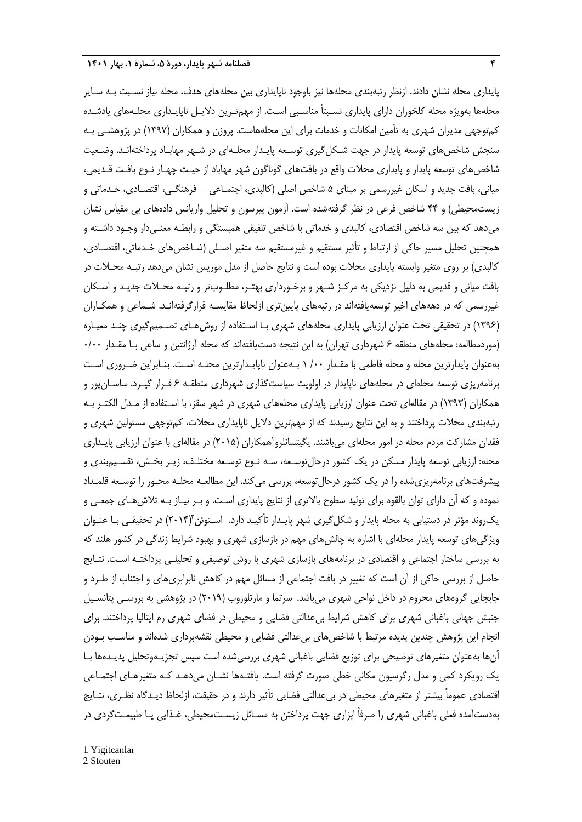پایداری محله نشان دادند. ازنظر رتبهبندی محلهها نیز باوجود ناپایداری بین محلههای هدف، محله نیاز نسـبت بـه سـایر محلهها بهویژه محله کلخوران دارای پایداری نسـبتاً مناسـبی اسـت. از مهمتـرین دالیـل ناپایـداری محلـههای یادشـده کمتوجهی مدیران شهری به تأمین امکانات و خدمات برای این محلههاست. پروزن و همکاران )0337( در پژوهشـی بـه سنجش شاخصهای توسعه پایدار در جهت شـکلگیری توسـعه پایـدار محلـهای در شـهر مهابـاد پرداختهانـد. وضـعیت شاخصهای توسعه پایدار و پایداری محلات واقع در بافتهای گوناگون شهر مهاباد از حیـث چهـار نـوع بافـت قـدیمی، میانی، بافت جدید و اسکان غیررسمی بر مبنای ۵ شاخص اصلی (کالبدی، اجتمـاعی – فرهنگـی، اقتصـادی، خـدماتی و زیستمحیطی) و ۴۴ شاخص فرعی در نظر گرفتهشده است. آزمون پیرسون و تحلیل واریانس دادههای بی مقیاس نشان میدهد که بین سه شاخص اقتصادی، کالبدی و خدماتی با شاخص تلفیقی همبستگی و رابطـه معنـیدار وجـود داشـته و همچنین تحلیل مسیر حاکی از ارتباط و تأثیر مستقیم و غیرمستقیم سه متغیر اصـلی )شـاخصهای خـدماتی، اقتصـادی، کالبدی) بر روی متغیر وابسته پایداری محلات بوده است و نتایج حاصل از مدل موریس نشان میدهد رتبـه محـلات در بافت میانی و قدیمی به دلیل نزدیکی به مرکـز شـهر و برخـورداری بهتـر، مطلـوبتر و رتبـه محـالت جدیـد و اسـکان غیررسمی که در دهههای اخیر توسعهیافتهاند در رتبههای پایینتری ازلحاظ مقایسـه قرارگرفتهانـد. شـماعی و همکـاران )0331( در تحقیقی تحت عنوان ارزیابی پایداری محلههای شهری بـا اسـتفاده از روشهـای تصـمیمگیری چنـد معیـاره (موردمطالعه: محلههای منطقه ۶ شهرداری تهران) به این نتیجه دستیافتهاند که محله آرژانتین و ساعی بـا مقـدار ۰/۰۰ بهعنوان پایدارترین محله و محله فاطمی با مقـدار /11 0 بـهعنوان ناپایـدارترین محلـه اسـت. بنـابراین ضـروری اسـت برنامهریزی توسعه محلهای در محلههای ناپایدار در اولویت سیاستگذاری شهرداری منطقـه 1 قـرار گیـرد. ساسـانپور و همکاران )0333( در مقالهای تحت عنوان ارزیابی پایداری محلههای شهری در شهر سقز، با اسـتفاده از مـدل الکتـر بـه رتبهبندی محلات پرداختند و به این نتایج رسیدند که از مهمترین دلایل ناپایداری محلات، کمتوجهی مسئولین شهری و فقدان مشارکت مردم محله در امور محلهای میباشند. یگیتسانلرو`همکاران (۲۰۱۵) در مقالهای با عنوان ارزیابی پایـداری محله: ارزیابی توسعه پایدار مسکن در یک کشور درحالتوسـعه، سـه نـوع توسـعه مختلـف، زیـر بخـش، تقسـیمبندی و پیشرفتهای برنامهریزیشده را در یک کشور درحالتوسعه، بررسی میکند. این مطالعـه محلـه محـور را توسـعه قلمـداد نموده و که آن دارای توان بالقوه برای تولید سطوح بالاتری از نتایج پایداری اسـت. و بـر نیـاز بـه تلاش@عـای جمعـی و یکروند مؤثر در دستیابی به محله پایدار و شکلگیری شهر پایـدار تأکیـد دارد. اسـتوئن ۲۰۱۴) در تحقیقـی بـا عنـوان ویژگیهای توسعه پایدار محلهای با اشاره به چالشهای مهم در بازسازی شهری و بهبود شرایط زندگی در کشور هلند که به بررسی ساختار اجتماعی و اقتصادی در برنامههای بازسازی شهری با روش توصیفی و تحلیلـی پرداختـه اسـت. نتـای حاصل از بررسی حاکی از آن است که تغییر در بافت اجتماعی از مسائل مهم در کاهش نابرابریهای و اجتناب از طـرد و جابجایی گروههای محروم در داخل نواحی شهری میباشد. سرتما و مارتلوزوب )5103( در پژوهشی به بررسـی پتانسـیل جنبش جهانی باغبانی شهری برای کاهش شرایط بیعدالتی فضایی و محیطی در فضای شهری رم ایتالیا پرداختند. برای انجام این پژوهش چندین پدیده مرتبط با شاخصهای بیعدالتی فضایی و محیطی نقشهبرداری شدهاند و مناسـب بـودن آنها بهعنوان متغیرهای توضیحی برای توزیع فضایی باغبانی شهری بررسیشده است سپس تجزیـهوتحلیل پدیـدهها بـا یک رویکرد کمی و مدل رگرسیون مکانی خطی صورت گرفته است. یافتـهها نشـان میدهـد کـه متغیرهـای اجتمـاعی اقتصادی عموماً بیشتر از متغیرهای محیطی در بیءدالتی فضایی تأثیر دارند و در حقیقت، ازلحاظ دیـدگاه نظـری، نتـایج بهدستآمده فعلی باغبانی شهری را صرفاً ابزاری جهت پرداختن به مسـائل زیسـتمحیطی، غـذایی یـا طبیعـتگردی در

1

<sup>1.</sup> Yigitcanlar

<sup>2.</sup> Stouten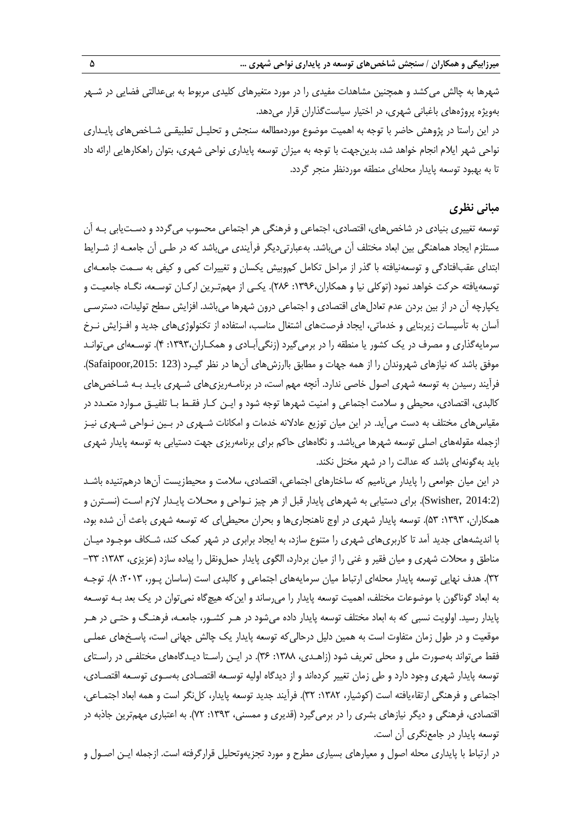شهرها به چالش می کشد و همچنین مشاهدات مفیدی را در مورد متغیرهای کلیدی مربوط به بی عدالتی فضایی در شـهر بهویژه پروژههای باغبانی شهری، در اختیار سیاستگذاران قرار میدهد. در این راستا در پژوهش حاضر با توجه به اهمیت موضوع موردمطالعه سنجش و تحلیـل تطبیقـی شـاخصهای پایـداری نواحی شهر ایالم انجام خواهد شد، بدینجهت با توجه به میزان توسعه پایداری نواحی شهری، بتوان راهکارهایی ارائه داد تا به بهبود توسعه پایدار محلهای منطقه موردنظر منجر گردد.

## **مبانی نظری**

توسعه تغییری بنیادی در شاخصهای، اقتصادی، اجتماعی و فرهنگی هر اجتماعی محسوب میگردد و دسـتیابی بـه آن مستلزم ایجاد هماهنگی بین ابعاد مختلف آن میباشد. بهعبارتیدیگر فرآیندی میباشد که در طـی آن جامعـه از شـرایط ابتدای عقبافتادگی و توسعهنیافته با گذر از مراحل تکامل کموبیش یکسان و تغییرات کمی و کیفی به سـمت جامعـهای توسعهیافته حرکت خواهد نمود )توکلی نیا و همکاران:0331، 511(. یکـی از مهمتـرین ارکـان توسـعه، نگـاه جامعیـت و یکپارچه آن در از بین بردن عدم تعادلهای اقتصادی و اجتماعی درون شهرها میباشد. افزایش سطح تولیدات، دسترسـی آسان به تأسیسات زیربنایی و خدماتی، ایجاد فرصتهای اشتغال مناسب، استفاده از تکنولوژیهای جدید و افـزایش نـرخ سرمایهگذاری و مصرف در یک کشور یا منطقه را در برمیگیرد )زنگیآبـادی و همکـاران:0333، 1(. توسـعهای میتوانـد موفق باشد که نیازهای شهروندان را از همه جهات و مطابق باارزشهای آنها در نظر گیـرد (Safaipoor,2015: 123). فرآیند رسیدن به توسعه شهری اصول خاصی ندارد. آنچه مهم است، در برنامـهریزیهای شـهری بایـد بـه شـاخصهای کالبدی، اقتصادی، محیطی و سالمت اجتماعی و امنیت شهرها توجه شود و ایـن کـار فقـ بـا تلفیـق مـوارد متعـدد در مقیاسهای مختلف به دست میآید. در این میان توزیع عادالنه خدمات و امکانات شـهری در بـین نـواحی شـهری نیـز ازجمله مقولههای اصلی توسعه شهرها میباشد. و نگاههای حاکم برای برنامهریزی جهت دستیابی به توسعه پایدار شهری باید بهگونهای باشد که عدالت را در شهر مختل نکند.

در این میان جوامعی را پایدار مینامیم که ساختارهای اجتماعی، اقتصادی، سلامت و محیطزیست آنها درهمتنیده باشـد )2014:2 ,Swisher). برای دستیابی به شهرهای پایدار قبل از هر چیز نـواحی و محـالت پایـدار الزم اسـت )نسـترن و همکاران، ۱۳۹۳: ۵۳). توسعه پایدار شهری در اوج ناهنجاریها و بحران محیطیای که توسعه شهری باعث آن شده بود، با اندیشههای جدید آمد تا کاربریهای شهری را متنوع سازد، به ایجاد برابری در شهر کمک کند، شـکاف موجـود میـان مناطق و محلات شهری و میان فقیر و غنی را از میان بردارد، الگوی پایدار حملونقل را پیاده سازد (عزیزی، ۱۳۸۳: ۳۳– ۳۲). هدف نهایی توسعه پایدار محلهای ارتباط میان سرمایههای اجتماعی و کالبدی است (ساسان پـور، ۲۰۱۳: ۸). توجـه به ابعاد گوناگون با موضوعات مختلف، اهمیت توسعه پایدار را میرساند و اینکه هیچگاه نمیتوان در یک بعد بـه توسـعه پایدار رسید. اولویت نسبی که به ابعاد مختلف توسعه پایدار داده میشود در هـر کشـور، جامعـه، فرهنـگ و حتـی در هـر موقعیت و در طول زمان متفاوت است به همین دلیل درحالیکه توسعه پایدار یک چالش جهانی است، پاسـخهای عملـی فقط می تواند بهصورت ملی و محلی تعریف شود (زاهـدی، ۱۳۸۸: ۳۶). در ایـن راسـتا دیـدگاههای مختلفـی در راسـتای توسعه پایدار شهری وجود دارد و طی زمان تغییر کردهاند و از دیدگاه اولیه توسـعه اقتصـادی بهسـوی توسـعه اقتصـادی، اجتماعی و فرهنگی ارتقاءیافته است )کوشیار، :0315 35(. فرآیند جدید توسعه پایدار، کلنگر است و همه ابعاد اجتمـاعی، اقتصادی، فرهنگی و دیگر نیازهای بشری را در برمیگیرد (قدیری و ممسنی، ۱۳۹۳: ۷۲). به اعتباری مهمترین جاذبه در توسعه پایدار در جامعنگری آن است.

در ارتباط با پایداری محله اصول و معیارهای بسیاری مطرح و مورد تجزیهوتحلیل قرارگرفته است. ازجمله ایـن اصـول و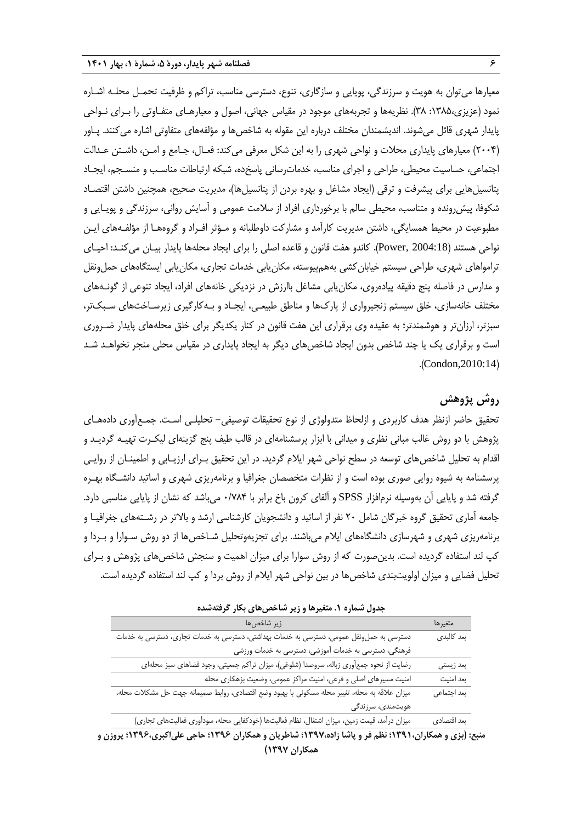معیارها میتوان به هویت و سرزندگی، پویایی و سازگاری، تنوع، دسترسی مناسب، تراکم و ظرفیت تحمـل محلـه اشـاره نمود )عزیزی:0312، 31(. نظریهها و تجربههای موجود در مقیاس جهانی، اصول و معیارهـای متفـاوتی را بـرای نـواحی پایدار شهری قائل میشوند. اندیشمندان مختلف درباره این مقوله به شاخصها و مؤلفههای متفاوتی اشاره میکنند. پـاور )5111( معیارهای پایداری محالت و نواحی شهری را به این شکل معرفی میکند: فعـال، جـامع و امـن، داشـتن عـدالت اجتماعی، حساسیت محیطی، طراحی و اجرای مناسب، خدماترسانی پاسخده، شبکه ارتباطات مناسـب و منسـجم، ایجـاد پتانسیلهایی برای پیشرفت و ترقی (ایجاد مشاغل و بهره بردن از پتانسیلها)، مدیریت صحیح، همچنین داشتن اقتصـاد شکوفا، پیشرونده و متناسب، محیطی سالم با برخورداری افراد از سالمت عمومی و آسایش روانی، سرزندگی و پویـایی و مطبوعیت در محیط همسایگی، داشتن مدیریت کارآمد و مشارکت داوطلبانه و مـؤثر افـراد و گروههـا از مؤلفـههای ایـن نواحی هستند )2004:18 ,Power). کاندو هفت قانون و قاعده اصلی را برای ایجاد محلهها پایدار بیـان میکنـد: احیـای ترامواهای شهری، طراحی سیستم خیابان کشی بههمپیوسته، مکان یابی خدمات تجاری، مکان یابی ایستگاههای حمل ونقل و مدارس در فاصله پنج دقیقه پیادهروی، مکان پابی مشاغل باارزش در نزدیکی خانههای افراد، ایجاد تنوعی از گونـههای مختلف خانهسازی، خلق سیستم زنجیرواری از پاركها و مناطق طبیعـی، ایجـاد و بـهکارگیری زیرسـاختهای سـبکتر، سبزتر، ارزانتر و هوشمندتر؛ به عقیده وی برقراری این هفت قانون در کنار یکدیگر برای خلق محلههای پایدار ضـروری است و برقراری یک یا چند شاخص بدون ایجاد شاخصهای دیگر به ایجاد پایداری در مقیاس محلی منجر نخواهـد شـد  $. (Condon, 2010:14)$ 

# **روش پژوهش**

تحقیق حاضر ازنظر هدف کاربردی و ازلحاظ متدولوژی از نوع تحقیقات توصیفی– تحلیلـی اسـت. جمـع|وری دادههـای پژوهش با دو روش غالب مبانی نظری و میدانی با ابزار پرسشنامهای در قالب طیف پنج گزینهای لیکـرت تهیـه گردیـد و اقدام به تحلیل شاخصهای توسعه در سطح نواحی شهر ایالم گردید. در این تحقیق بـرای ارزیـابی و اطمینـان از روایـی پرسشنامه به شیوه روایی صوری بوده است و از نظرات متخصصان جغرافیا و برنامهریزی شهری و اساتید دانشـگاه بهـره گرفته شد و پایایی آن بهوسیله نرمافزار SPSS و آلفای کرون باخ برابر با 1/711 میباشد که نشان از پایایی مناسبی دارد. جامعه آماری تحقیق گروه خبرگان شامل 51 نفر از اساتید و دانشجویان کارشناسی ارشد و باالتر در رشـتههای جغرافیـا و برنامهریزی شهری و شهرسازی دانشگاههای ایالم میباشند. برای تجزیهوتحلیل شـاخصها از دو روش سـوارا و بـردا و کپ لند استفاده گردیده است. بدینصورت که از روش سوارا برای میزان اهمیت و سنجش شاخصهای پژوهش و بـرای تحلیل فضایی و میزان اولویتبندی شاخصها در بین نواحی شهر ایالم از روش بردا و کپ لند استفاده گردیده است.

| زير شاخصها                                                                                     | متغيرها     |
|------------------------------------------------------------------------------------------------|-------------|
| دسترسی به حملونقل عمومی، دسترسی به خدمات بهداشتی، دسترسی به خدمات تجاری، دسترسی به خدمات       | بعد كالبدى  |
| فرهنگی، دسترسی به خدمات آموزشی، دسترسی به خدمات ورزشی                                          |             |
| رضایت از نحوه جمعآوری زباله، سروصدا (شلوغی)، میزان تراکم جمعیتی، وجود فضاهای سبز محلهای        | بعد زيستي   |
| امنیت مسیرهای اصلی و فرعی، امنیت مراکز عمومی، وضعیت بزهکاری محله                               | بعد امنيت   |
| میزان علاقه به محله، تغییر محله مسکونی با بهبود وضع اقتصادی، روابط صمیمانه جهت حل مشکلات محله، | بعد اجتماعي |
| هویتمندی، سرزندگی                                                                              |             |
| میزان درآمد، قیمت زمین، میزان اشتغال، نظام فعالیتها (خودکفایی محله، سودآوری فعالیتهای تجاری)   | بعد اقتصادى |

**جدول شماره .1 متغیرها و زیر شاخصهای بکار گرفتهشده**

**منبع: )بزی و همکاران1391،؛ نظم فر و پاشا زاده1397،؛ شاطریان و همکاران 1396؛ حاجی علیاکبری1396،؛ پروزن و همکاران 1397(**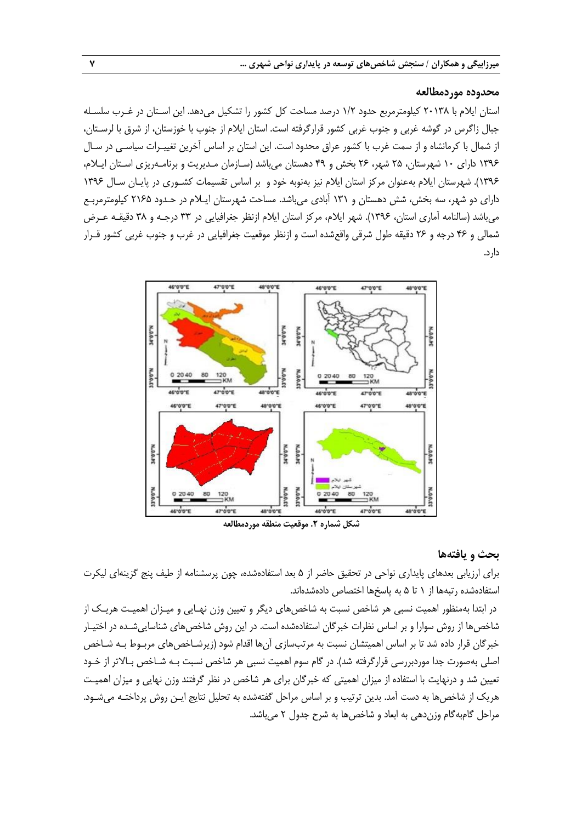#### **محدوده موردمطالعه**

استان ایالم با 51031 کیلومترمربع حدود 0/5 درصد مساحت کل کشور را تشکیل میدهد. این اسـتان در غـرب سلسـله جبال زاگرس در گوشه غربی و جنوب غربی کشور قرارگرفته است. استان ایالم از جنوب با خوزستان، از شرق با لرسـتان، از شمال با کرمانشاه و از سمت غرب با کشور عراق محدود است. این استان بر اساس آخرین تغییـرات سیاسـی در سـال 0331 دارای 01 شهرستان، 52 شهر، 51 بخش و 13 دهستان میباشد )سـازمان مـدیریت و برنامـهریزی اسـتان ایـالم، 0331(. شهرستان ایالم بهعنوان مرکز استان ایالم نیز بهنوبه خود و بر اساس تقسیمات کشـوری در پایـان سـال 0331 دارای دو شهر، سه بخش، شش دهستان و 030 آبادی میباشد. مساحت شهرستان ایـالم در حـدود 5012 کیلومترمربـع میباشد (سالنامه آماری استان، ۱۳۹۶). شهر ایلام، مرکز استان ایلام ازنظر جغرافیایی در ۳۳ درجـه و ۳۸ دقیقـه عـرض شمالی و 11 درجه و 51 دقیقه طول شرقی واقعشده است و ازنظر موقعیت جغرافیایی در غرب و جنوب غربی کشور قـرار دارد.



#### **بحث و یافتهها**

برای ارزیابی بعدهای پایداری نواحی در تحقیق حاضر از 2 بعد استفادهشده، چون پرسشنامه از طیف پن گزینهای لیکرت استفادهشده رتبهها از 0 تا 2 به پاسخها اختصاص دادهشدهاند.

در ابتدا بهمنظور اهمیت نسبی هر شاخص نسبت به شاخصهای دیگر و تعیین وزن نهـایی و میـزان اهمیـت هریـک از شاخصها از روش سوارا و بر اساس نظرات خبرگان استفادهشده است. در این روش شاخصهای شناساییشـده در اختیـار خبرگان قرار داده شد تا بر اساس اهمیتشان نسبت به مرتبسازی آنها اقدام شود (زیرشـاخصهای مربـوط بـه شـاخص اصلی بهصورت جدا موردبررسی قرارگرفته شد(. در گام سوم اهمیت نسبی هر شاخص نسبت بـه شـاخص بـاالتر از خـود تعیین شد و درنهایت با استفاده از میزان اهمیتی که خبرگان برای هر شاخص در نظر گرفتند وزن نهایی و میزان اهمیـت هریک از شاخصها به دست آمد. بدین ترتیب و بر اساس مراحل گفتهشده به تحلیل نتایج ایـن روش پرداختـه میشـود. مراحل گامبهگام وزندهی به ابعاد و شاخصها به شرح جدول 5 میباشد.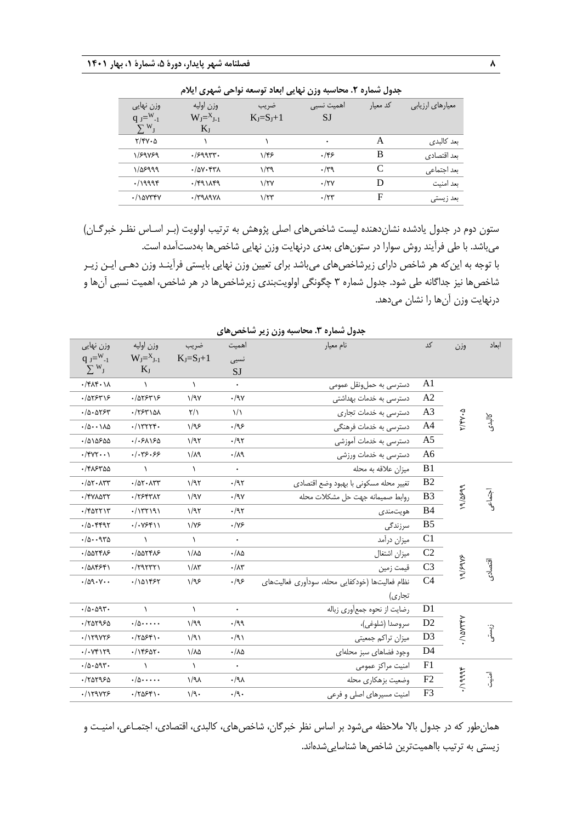|                  |          |             | جدوں سمارہ ۰. محاسبہ ورن نہایی ابعاد نوشعہ نواحی سہری ایارم |                 |                           |
|------------------|----------|-------------|-------------------------------------------------------------|-----------------|---------------------------|
| معیارهای ارزیابی | کد معیار | اهمیت نسبی  | ضريب                                                        | وزن اوليه       | وزن نهایی                 |
|                  |          | <b>SJ</b>   | $K_I=S_I+1$                                                 | $W_J = X_{J-1}$ | q $J = W_{-1}$            |
|                  |          |             |                                                             | $K_{J}$         | $\sum W_{\rm J}$          |
| ىعد كالىدى       | A        | ٠           |                                                             |                 | $Y/Y\cdot\Delta$          |
| بعد اقتصادی      | B        | .155        | ۱/۴۶                                                        | .79997.         | 1/89889                   |
| بعد اجتماعي      | C        | $\cdot$ /۳۹ | ۱/۳۹                                                        | $.70V$ . FTA    | 1/08999                   |
| ىعد امنىت        | D        | $\cdot$ /۲۷ | $\frac{1}{\tau}$                                            | $\cdot$ /۴۹۱۸۴۹ | .79998                    |
| بعد زیستی        | F        | $\cdot$ /۲۳ | $1/\tau$ ۳                                                  | <b>AVPANYA</b>  | $\cdot$ / $\lambda$ avrry |
|                  |          |             |                                                             |                 |                           |

**جدول شماره .2 محاسبه وزن نهایی ابعاد توسعه نواحی شهری ایالم**

ستون دوم در جدول یادشده نشاندهنده لیست شاخصهای اصلی پژوهش به ترتیب اولویت )بـر اسـاس نظـر خبرگـان( میباشد. با طی فرآیند روش سوارا در ستونهای بعدی درنهایت وزن نهایی شاخصها بهدستآمده است. با توجه به اینکه هر شاخص دارای زیرشاخصهای میباشد برای تعیین وزن نهایی بایستی فرآینـد وزن دهـی ایـن زیـر شاخصها نیز جداگانه طی شود. جدول شماره 3 چگونگی اولویتبندی زیرشاخصها در هر شاخص، اهمیت نسبی آنها و درنهایت وزن آنها را نشان میدهد.

|                                          |                                                               |                      | ັ                         | ,  ,, <del>,</del> ,<br>∽∕ ∙                    |                 |                  |          |
|------------------------------------------|---------------------------------------------------------------|----------------------|---------------------------|-------------------------------------------------|-----------------|------------------|----------|
| وزن نهایی                                | وزن اوليه                                                     | ضريب                 | اهميت                     | نام معيار                                       | کد              | وزن              | انعاد    |
| $q_{J} = W_{-1}$                         | $W_J = X_{J-1}$                                               | $K_J = S_J + 1$      | نسبى                      |                                                 |                 |                  |          |
| $\sum W_{J}$                             | $K_J$                                                         |                      | SJ                        |                                                 |                 |                  |          |
| $\cdot$ /۴۸۴ $\cdot$ ۱۸                  | $\lambda$                                                     | $\lambda$            | $\bullet$                 | دسترسی به حملونقل عمومی                         | A1              |                  |          |
| .1055915                                 | .1055715                                                      | 1/9Y                 | $\cdot$ /9 $\gamma$       | دسترسی به خدمات بهداشتی                         | A2              |                  |          |
| $-10 - 0757$                             | $\cdot$ /٢۶٣١۵٨                                               | $\frac{1}{\sqrt{2}}$ | $\frac{1}{2}$             | دسترسی به خدمات تجاری                           | A3              | $Y/Y\cdot\Delta$ |          |
| $\cdot/\Delta$                           | $.$ $/$ $\gamma$ $\gamma$ $\gamma$ $\gamma$ $\gamma$ $\gamma$ | 1/95                 | .195                      | دسترسی به خدمات فرهنگی                          | A <sub>4</sub>  |                  | كالبدى   |
| .1010500                                 | .1.51150                                                      | 1/97                 | $\cdot$ /95               | دسترسی به خدمات آموزشی                          | A <sub>5</sub>  |                  |          |
| $\cdot$ /۴۷۲ $\cdot \cdot \cdot$         | .1.75.55                                                      | $1/\lambda$ ۹        | $\cdot/\lambda$ 9         | دسترسی به خدمات ورزشی                           | A <sub>6</sub>  |                  |          |
| ٠/۴۸۶٣۵۵                                 | $\lambda$                                                     | $\lambda$            | $\ddot{\phantom{0}}$      | میزان علاقه به محله                             | B <sub>1</sub>  |                  |          |
| $\cdot$ / $\Delta$ ۲ $\cdot$ $\wedge$ ۳۳ | $-10Y - \Lambda YY$                                           | 1/97                 | .797                      | تغيير محله مسكوني با بهبود وضع اقتصادى          | B2              |                  |          |
| ٠/۴٧٨٥٣٢                                 | $\cdot$ /٢۶۴٣ $\wedge$ ٢                                      | 1/9V                 | $\cdot$ /9 $\vee$         | روابط صميمانه جهت حل مشكلات محله                | B <sub>3</sub>  | 19/0899          | آجنهایمی |
| $\cdot$ /۴۵۲۲۱۳                          | .7177191                                                      | 1/97                 | $\cdot$ /95               | هويتمندى                                        | <b>B4</b>       |                  |          |
| .70.4497                                 | . / . V551)                                                   | $1/\gamma$ ۶         | $\cdot/\gamma$ ۶          | سرزندگی                                         | B <sub>5</sub>  |                  |          |
| $.10 - 970$                              | $\lambda$                                                     | $\lambda$            | $\bullet$                 | ميزان درأمد                                     | C1              |                  |          |
| $-1005505$                               | $-1005505$                                                    | $1/\lambda\Delta$    | $\cdot/\lambda\Delta$     | ميزان اشتغال                                    | C2              |                  |          |
| $-(\Delta\Lambda f F f)$                 | $\cdot$ /٢٩٢٣٢١                                               | $1/\lambda$ ۳        | $\cdot/\Lambda\mathbf{y}$ | قيمت زمين                                       | $\overline{C3}$ | ۱۹/۶۹۷۶          | اقتصادى  |
| .409.44.                                 | $. / \sim 10$                                                 | 1/95                 | .195                      | نظام فعالیتها (خودکفایی محله، سودآوری فعالیتهای | C4              |                  |          |
|                                          |                                                               |                      |                           | تجاري)                                          |                 |                  |          |
| $.70 - 097$                              | $\lambda$                                                     | $\lambda$            | $\ddot{\phantom{0}}$      | رضايت از نحوه جمعأوري زباله                     | D <sub>1</sub>  |                  |          |
| .707950                                  | $\cdot/\Delta \cdot \cdot \cdot \cdot$                        | 1/99                 | .199                      | سروصدا (شلوغي)،                                 | D2              |                  |          |
| .119975                                  | .7055                                                         | 1/91                 | $\cdot$ /9)               | میزان تراکم جمعیتی                              | D <sub>3</sub>  | $\gamma$ avrey   | زيستنى   |
| . / . Vf1f9                              | .115507.                                                      | ۱/λ۵                 | $\cdot/\lambda\Delta$     | وجود فضاهای سبز محلهای                          | D <sub>4</sub>  |                  |          |
| $.70 - 097$                              | $\lambda$                                                     | $\lambda$            | $\ddot{\phantom{0}}$      | امنيت مراكز عمومى                               | F <sub>1</sub>  |                  |          |
| .707950                                  | $\cdot/\Delta \cdot \cdot \cdot \cdot$                        | $1/9\lambda$         | $\cdot / 9$               | وضعیت بزهکاری محله                              | F2              | .799997.         | آهنين    |
| .1179Y55                                 | $\cdot$ /٢۵۶۴۱.                                               | 1/9.                 | $\cdot$ /9.               | امنیت مسیرهای اصلی و فرعی                       | F <sub>3</sub>  |                  |          |

**جدول شماره .3 محاسبه وزن زیر شاخصهای**

همانطور که در جدول باال مالحظه میشود بر اساس نظر خبرگان، شاخصهای، کالبدی، اقتصادی، اجتمـاعی، امنیـت و زیستی به ترتیب بااهمیتترین شاخصها شناساییشدهاند.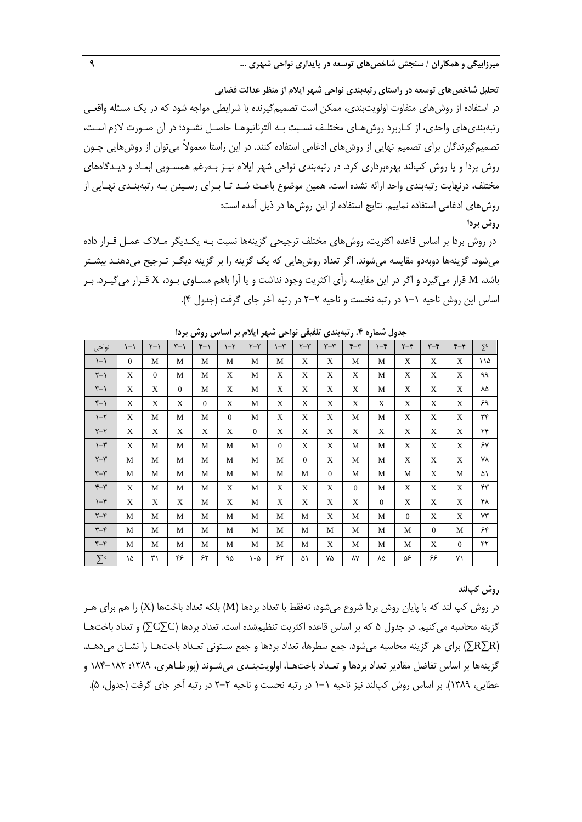**تحلیل شاخصهای توسعه در راستای رتبهبندی نواحی شهر ایالم از منظر عدالت فضایی** در استفاده از روشهای متفاوت اولویتبندی، ممکن است تصمیمگیرنده با شرایطی مواجه شود که در یک مسئله واقعـی رتبهبندیهای واحدی، از کـاربرد روشهـای مختلـف نسـبت بـه آلترناتیوهـا حاصـل نشـود؛ در آن صـورت الزم اسـت، تصمیمگیرندگان برای تصمیم نهایی از روشهای ادغامی استفاده کنند. در این راستا معموالً میتوان از روشهایی چـون روش بردا و یا روش کپلند بهرهبرداری کرد. در رتبهبندی نواحی شهر ایالم نیـز بـهرغم همسـویی ابعـاد و دیـدگاههای مختلف، درنهایت رتبهبندی واحد ارائه نشده است. همین موضوع باعـث شـد تـا بـرای رسـیدن بـه رتبهبنـدی نهـایی از روشهای ادغامی استفاده نماییم. نتایج استفاده از این روشها در ذیل آمده است: **روش بردا**

در روش بردا بر اساس قاعده اکثریت، روشهای مختلف ترجیحی گزینهها نسبت بـه یکـدیگر مـالك عمـل قـرار داده میشود. گزینهها دوبهدو مقایسه میشوند. اگر تعداد روشهایی که یک گزینه را بر گزینه دیگـر تـرجیح میدهنـد بیشـتر باشد، M قرار میگیرد و اگر در این مقایسه رأی اکثریت وجود نداشت و یا آرا باهم مسـاوی بـود، X قـرار میگیـرد. بـر اساس این روش ناحیه 0-0 در رتبه نخست و ناحیه 5-5 در رتبه آخر جای گرفت )جدول 1(.

| لیں روسی برت<br>$\mathcal{L} \left( \mathcal{L} \right) = \mathcal{L} \left( \mathcal{L} \right) = \mathcal{L} \left( \mathcal{L} \right) = \mathcal{L} \left( \mathcal{L} \right) = \mathcal{L} \left( \mathcal{L} \right) = \mathcal{L} \left( \mathcal{L} \right) = \mathcal{L} \left( \mathcal{L} \right) = \mathcal{L} \left( \mathcal{L} \right) = \mathcal{L} \left( \mathcal{L} \right) = \mathcal{L} \left( \mathcal{L} \right) = \mathcal{L} \left( \mathcal{L} \right) = \mathcal{L} \left( \math$<br>س سی<br>سيسى<br>تسترد ۰٫۰۰ رتب بستی<br>- 7 |                  |                 |                  |              |                   |                 |                   |                 |                |          |          |                 |                |                |                     |
|-------------------------------------------------------------------------------------------------------------------------------------------------------------------------------------------------------------------------------------------------------------------------------------------------------------------------------------------------------------------------------------------------------------------------------------------------------------------------------------------------------------------------------------------------------------|------------------|-----------------|------------------|--------------|-------------------|-----------------|-------------------|-----------------|----------------|----------|----------|-----------------|----------------|----------------|---------------------|
| نواحى                                                                                                                                                                                                                                                                                                                                                                                                                                                                                                                                                       | $\left(-\right)$ | $\zeta - \zeta$ | $\zeta - \gamma$ | $Y-1$        | $\gamma - \gamma$ | $\zeta - \zeta$ | $\gamma - \gamma$ | $\zeta - \zeta$ | $\tau-\tau$    | $\tau$   | $-5$     | $\zeta - \zeta$ | $\tau$ -۴      | $f-f$          | $\Sigma^{\text{C}}$ |
| $\setminus -\setminus$                                                                                                                                                                                                                                                                                                                                                                                                                                                                                                                                      | $\overline{0}$   | M               | M                | M            | M                 | M               | M                 | X               | X              | M        | M        | X               | X              | X              | ۱۱۵                 |
| $\zeta - \zeta$                                                                                                                                                                                                                                                                                                                                                                                                                                                                                                                                             | X                | $\mathbf{0}$    | M                | М            | X                 | M               | X                 | X               | X              | X        | M        | X               | X              | X              | ٩٩                  |
| $\uparrow - \uparrow$                                                                                                                                                                                                                                                                                                                                                                                                                                                                                                                                       | X                | X               | $\mathbf{0}$     | М            | X                 | M               | X                 | X               | X              | X        | M        | X               | X              | X              | ٨۵                  |
| $f - 1$                                                                                                                                                                                                                                                                                                                                                                                                                                                                                                                                                     | X                | X               | X                | $\mathbf{0}$ | X                 | M               | X                 | X               | X              | X        | X        | X               | X              | X              | ۶۹                  |
| $\lambda - \zeta$                                                                                                                                                                                                                                                                                                                                                                                                                                                                                                                                           | X                | М               | M                | М            | $\theta$          | M               | X                 | X               | X              | M        | M        | X               | X              | X              | $\tau\tau$          |
| $\zeta - \zeta$                                                                                                                                                                                                                                                                                                                                                                                                                                                                                                                                             | X                | X               | X                | X            | X                 | $\overline{0}$  | X                 | X               | X              | X        | X        | X               | X              | X              | $\mathbf{r}$        |
| $\gamma - \gamma$                                                                                                                                                                                                                                                                                                                                                                                                                                                                                                                                           | X                | M               | M                | M            | $\mathbf M$       | M               | $\overline{0}$    | X               | X              | M        | M        | X               | X              | X              | ۶٧                  |
| $\zeta - \zeta$                                                                                                                                                                                                                                                                                                                                                                                                                                                                                                                                             | М                | M               | M                | M            | M                 | M               | M                 | $\mathbf{0}$    | X              | M        | M        | X               | X              | X              | ٧٨                  |
| $\tau-\tau$                                                                                                                                                                                                                                                                                                                                                                                                                                                                                                                                                 | М                | M               | M                | M            | М                 | M               | М                 | М               | $\overline{0}$ | M        | M        | М               | X              | M              | ۵۱                  |
| $r-\tau$                                                                                                                                                                                                                                                                                                                                                                                                                                                                                                                                                    | X                | M               | M                | M            | X                 | M               | X                 | X               | X              | $\Omega$ | M        | X               | X              | X              | ۴٣                  |
| $\neg$                                                                                                                                                                                                                                                                                                                                                                                                                                                                                                                                                      | X                | X               | X                | M            | X                 | M               | X                 | X               | X              | X        | $\theta$ | X               | X              | X              | ۴۸                  |
| $\zeta - \zeta$                                                                                                                                                                                                                                                                                                                                                                                                                                                                                                                                             | М                | М               | M                | M            | М                 | M               | M                 | М               | X              | M        | M        | $\theta$        | X              | X              | $Y\Upsilon$         |
| $\tau-\tau$                                                                                                                                                                                                                                                                                                                                                                                                                                                                                                                                                 | М                | M               | M                | M            | М                 | M               | М                 | М               | М              | M        | М        | М               | $\overline{0}$ | M              | ۶۴                  |
| $f-f$                                                                                                                                                                                                                                                                                                                                                                                                                                                                                                                                                       | М                | M               | M                | M            | M                 | M               | M                 | М               | X              | M        | M        | M               | X              | $\overline{0}$ | ۴٢                  |
| $\sum$ R                                                                                                                                                                                                                                                                                                                                                                                                                                                                                                                                                    | ١۵               | ٣١              | ۴۶               | ۶۲           | ۹۵                | ۱۰۵             | ۶۲                | ۵۱              | ۷۵             | ٨٧       | ۸۵       | ۵۶              | ۶۶             | ۷١             |                     |

**جدول شماره .4 رتبهبندی تلفیقی نواحی شهر ایالم بر اساس روش بردا**

#### **روش کپلند**

در روش کپ لند که با پایان روش بردا شروع میشود، نهفقط با تعداد بردها (M) بلکه تعداد باختها (X) را هم برای هـر گزینه محاسبه میکنیم. در جدول 2 که بر اساس قاعده اکثریت تنظیمشده است. تعداد بردها )C∑C )∑و تعداد باختهـا )R∑R )∑برای هر گزینه محاسبه میشود. جمع سطرها، تعداد بردها و جمع سـتونی تعـداد باختهـا را نشـان میدهـد. گزینهها بر اساس تفاضل مقادیر تعداد بردها و تعـداد باختهـا، اولویتبنـدی میشـوند (پورطـاهری، ١٣٨٩: ١٨٢–١٨۴ و عطایی، ۱۳۸۹). بر اساس روش کپالند نیز ناحیه ۱–۱ در رتبه نخست و ناحیه ۲–۲ در رتبه آخر جای گرفت (جدول، ۵).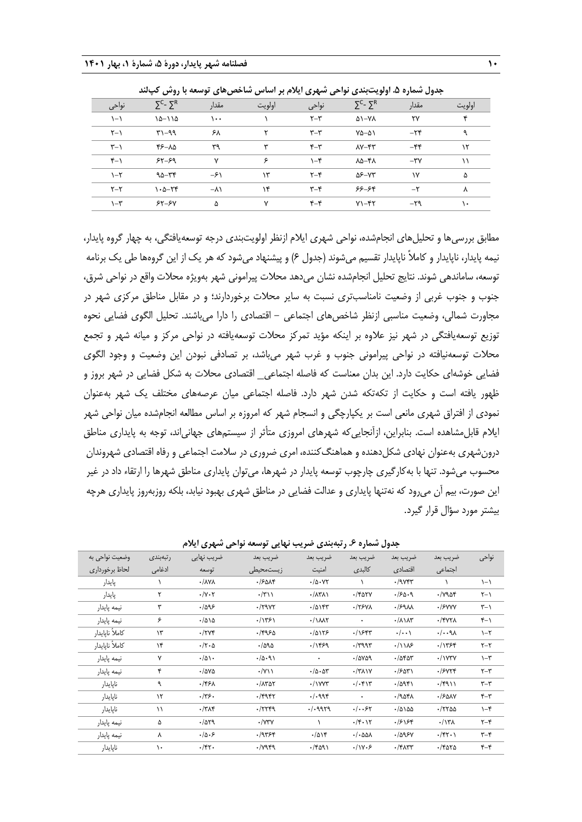| جدول سَماره ۵. اولویتبِندی نواحی سَهری ایلام بر اساس سَاخص@یای توسعه با روس کپالند |            |        |           |                                     |                          |        |  |  |  |  |  |
|------------------------------------------------------------------------------------|------------|--------|-----------|-------------------------------------|--------------------------|--------|--|--|--|--|--|
| $\Sigma^C$ - $\Sigma^R$                                                            | مقدار      | اولويت | نواحي     | $\Sigma^C$ - $\Sigma^R$             | مقدار                    | اولويت |  |  |  |  |  |
| $10 - 110$                                                                         | ۱۰۰        |        | $Y - Y$   | $\Delta$ 1-YA                       | ٢٧                       | ۴      |  |  |  |  |  |
| $Y - 99$                                                                           | ۶۸         |        | $r - r$   | $Y\Delta-\Delta Y$                  | $-\tau$                  | ٩      |  |  |  |  |  |
| ۳۶−۸۵                                                                              | ٣٩         | ۳      | $r-\tau$  | $\Lambda$ Y $-$ ۴۳                  | $-\epsilon$              | ۱۲     |  |  |  |  |  |
| $55 - 59$                                                                          | ٧          | ۶      | $\neg$    | $\lambda\Delta-\mathfrak{k}\lambda$ | $-\mathsf{r}\mathsf{v}$  | ۱۱     |  |  |  |  |  |
| $90 - 88$                                                                          | $-\xi$     | ۱۳     | $Y - Y$   | $\Delta$ ۶-V۳                       | ١٧                       | ۵      |  |  |  |  |  |
| $\lambda - \Delta - \kappa$                                                        | $-\lambda$ | ۱۴     | $\tau$ -۴ | $55 - 58$                           | $-\tau$                  | ۸      |  |  |  |  |  |
| $55 - 50$                                                                          | ۵          | ٧      | $f-f$     | $Y - fY$                            | $-\mathbf{Y} \mathbf{Q}$ | ۱۰     |  |  |  |  |  |
|                                                                                    |            |        |           |                                     |                          |        |  |  |  |  |  |

 $\mathbb{R}^n$  and  $\mathbb{R}^n$ 

مطابق بررسیها و تحلیلهای انجامشده، نواحی شهری ایالم ازنظر اولویتبندی درجه توسعهیافتگی، به چهار گروه پایدار، نیمه پایدار، ناپایدار و کاملاً ناپایدار تقسیم میشوند (جدول ۶) و پیشنهاد میشود که هر یک از این گروهها طی یک برنامه توسعه، ساماندهی شوند. نتایج تحلیل انجامشده نشان میدهد محلات پیرامونی شهر بهویژه محلات واقع در نواحی شرق، جنوب و جنوب غربی از وضعیت نامناسبتری نسبت به سایر محالت برخوردارند؛ و در مقابل مناطق مرکزی شهر در مجاورت شمالی، وضعیت مناسبی ازنظر شاخصهای اجتماعی - اقتصادی را دارا میباشند. تحلیل الگوی فضایی نحوه توزیع توسعهیافتگی در شهر نیز عالوه بر اینکه مؤید تمرکز محالت توسعهیافته در نواحی مرکز و میانه شهر و تجمع محالت توسعهنیافته در نواحی پیرامونی جنوب و غرب شهر میباشد، بر تصادفی نبودن این وضعیت و وجود الگوی فضایی خوشهای حکایت دارد. این بدان معناست که فاصله اجتماعی\_ اقتصادی محالت به شکل فضایی در شهر بروز و ظهور یافته است و حکایت از تکهتکه شدن شهر دارد. فاصله اجتماعی میان عرصههای مختلف یک شهر بهعنوان نمودی از افتراق شهری مانعی است بر یکپارچگی و انسجام شهر که امروزه بر اساس مطالعه انجامشده میان نواحی شهر ایالم قابلمشاهده است. بنابراین، ازآنجاییکه شهرهای امروزی متأثر از سیستمهای جهانیاند، توجه به پایداری مناطق درونشهری بهعنوان نهادی شکلدهنده و هماهنگکننده، امری ضروری در سالمت اجتماعی و رفاه اقتصادی شهروندان محسوب میشود. تنها با بهکارگیری چارچوب توسعه پایدار در شهرها، میتوان پایداری مناطق شهرها را ارتقاء داد در غیر این صورت، بیم آن میرود که نهتنها پایداری و عدالت فضایی در مناطق شهری بهبود نیابد، بلکه روزبهروز پایداری هرچه بیشتر مورد سؤال قرار گیرد.

| وضعیت نواحی به  | رتبەبندى      | ضریب نهایی                  | ضريب بعد                | ضريب بعد                       | ضريب بعد                                     | ضريب بعد                    | ضريب بعد               | نواحى                     |
|-----------------|---------------|-----------------------------|-------------------------|--------------------------------|----------------------------------------------|-----------------------------|------------------------|---------------------------|
| لحاظ برخورداري  | ادغامی        | توسعه                       | زيستمحيطى               | امنيت                          | كالبدى                                       | اقتصادى                     | اجتماعى                |                           |
| پايدار          |               | $\cdot / \lambda V \lambda$ | $-1500$                 | .10.47                         | A.                                           | .79Yf                       |                        | $\setminus -\setminus$    |
| يايدار          | ٢             | $\cdot/\gamma \cdot \gamma$ | $\cdot$ /۳۱۱            | $\cdot$ / $\land$ ۳ $\land$    | $\cdot$ /۴۵۲۷                                | .150.9                      | $\cdot$ / $\gamma$ ۹۵۴ | $Y - Y$                   |
| نيمه پايدار     | ٣             | .7095                       | $\cdot$ / $\gamma$ 97   | .70157                         | $\cdot$ /٢۶٧٨                                | .59M                        | ·/۶VVV                 | $\uparrow - \uparrow$     |
| نيمه پايدار     | ۶             | $\cdot$ /۵۱۵                | .11551                  | $\cdot / \lambda \lambda \tau$ | ٠                                            | $\cdot/\lambda$ $\lambda$ ۳ | $\cdot$ /۴۷۲۸          | $f-1$                     |
| كاملاً نايايدار | $\mathcal{N}$ | $\cdot$ /۲۷۴                | ۳۹۶۵.                   | .10155                         | .1954                                        | $\cdot/\cdot\cdot$          | $./-9\lambda$          | $\lambda - \zeta$         |
| كاملأ نايايدار  | ۱۴            | $\cdot/\tau \cdot \Delta$   | .7090                   | .11599                         | $\cdot$ /٣٩٩٣                                | .1118                       | .7754                  | $\tau-\tau$               |
| نيمه پايدار     | ٧             | $\cdot/\Delta$              | .70.91                  | ٠                              | $-10009$                                     | $-1050$                     | $\cdot$ / $\gamma$ ۳۷  | $\neg$                    |
| نيمه يايدار     | ۴             | $\cdot$ /575                | $\cdot$ /Y \ \          | .70.07                         | $\cdot$ /٣ $\wedge$                          | .75071                      | ۶۷۲۴.                  | $\tau-\tau$               |
| ناپايدار        | ٩             | $.$ /۴۶۸                    | $\cdot$ / $\Lambda$ ۳۵۲ | $\cdot$ / $\gamma$             | $./-$ ۴۱۳                                    | 1/0951                      | $\cdot$ /۴۹۱۱          | $\mathbf{r} - \mathbf{r}$ |
| نايايدار        | $\mathcal{N}$ | .775.                       | $\cdot$ /۴۹۴۲           | .1.998                         | ٠                                            | .7904                       | ٠/۶۵۸٧                 | $r-\tau$                  |
| نايايدار        | ۱۱            | $\cdot$ /٣٨۴                | .7779                   | . / .9979                      | $. /$ ۶۲                                     | $\cdot$ /۵۱۵۵               | $\cdot$ /٢٢٥٥          | $-5$                      |
| نيمه يايدار     | ۵             | .7079                       | $\cdot$ /YTY            |                                | $\cdot$ /۴ $\cdot$ ۱۲                        | ۱۶۱۶۴.                      | $\cdot$ /1۳۸           | $\uparrow -\uparrow$      |
| نيمه پايدار     | Λ             | .10.5                       | .79799                  | .7014                          | $\cdot$ / $\cdot$ $\triangle\triangle\wedge$ | .1095Y                      | $\cdot$ /۴۲ $\cdot$    | $\tau-\tau$               |
| نايايدار        | ١.            | $\cdot$ /۴۲.                | $\cdot$ / $\gamma$ ۹۴۹  | $\cdot$ /۴۵۹۱                  | .11Y.5                                       | $\cdot$ /۴۸۳۳               | $\cdot$ /۴۵۲۵          | $-5$                      |

**جدول شماره .6 رتبهبندی ضریب نهایی توسعه نواحی شهری ایالم**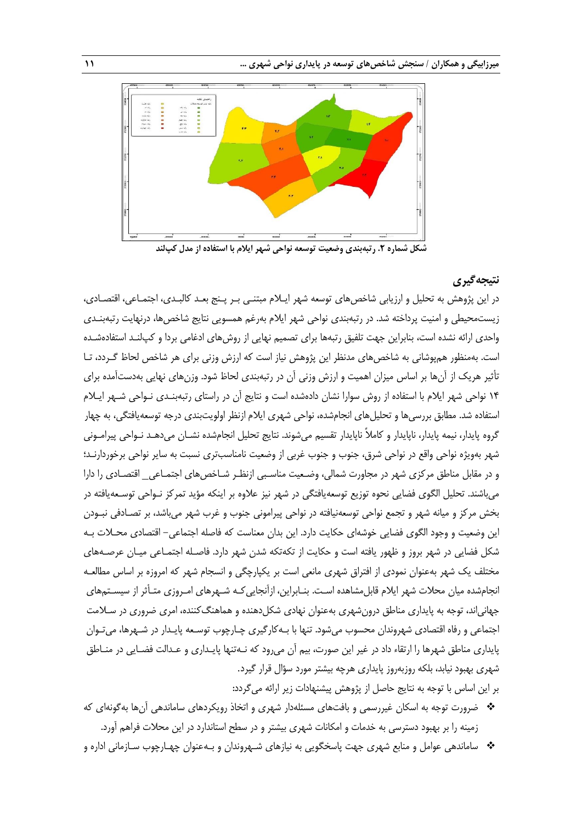

**شکل شماره .2 رتبهبندی وضعیت توسعه نواحی شهر ایالم با استفاده از مدل کپلند**

# **نتیجهگیری**

در این پژوهش به تحلیل و ارزیابی شاخصهای توسعه شهر ایـلام مبتنـی بـر پـنج بعـد کالبـدی، اجتمـاعی، اقتصـادی، زیستمحیطی و امنیت پرداخته شد. در رتبهبندی نواحی شهر ایلام بهرغم همسویی نتایج شاخصها، درنهایت رتبهبنـدی واحدی ارائه نشده است، بنابراین جهت تلفیق رتبهها برای تصمیم نهایی از روشهای ادغامی بردا و کپلنـد استفادهشـده است. بهمنظور همپوشانی به شاخصهای مدنظر این پژوهش نیاز است که ارزش وزنی برای هر شاخص لحاظ گـردد، تـا تأثیر هریک از آنها بر اساس میزان اهمیت و ارزش وزنی آن در رتبهبندی لحاظ شود. وزنهای نهایی بهدستآمده برای ١۴ نواحی شهر ایلام با استفاده از روش سوارا نشان دادهشده است و نتایج آن در راستای رتبهبنـدی نـواحی شـهر ایـلام استفاده شد. مطابق بررسیها و تحلیلهای انجامشده، نواحی شهری ایالم ازنظر اولویتبندی درجه توسعهیافتگی، به چهار گروه پایدار، نیمه پایدار، ناپایدار و کاملاً ناپایدار تقسیم میشوند. نتایج تحلیل انجامشده نشـان میدهـد نـواحی پیرامـونی شهر بهویژه نواحی واقع در نواحی شرق، جنوب و جنوب غربی از وضعیت نامناسبتری نسبت به سایر نواحی برخوردارنـد؛ و در مقابل مناطق مرکزی شهر در مجاورت شمالی، وضـعیت مناسـبی ازنظـر شـاخصهای اجتمـاعی\_ اقتصـادی را دارا میباشند. تحلیل الگوی فضایی نحوه توزیع توسعهیافتگی در شهر نیز عالوه بر اینکه مؤید تمرکز نـواحی توسـعهیافته در بخش مرکز و میانه شهر و تجمع نواحی توسعهنیافته در نواحی پیرامونی جنوب و غرب شهر میباشد، بر تصـادفی نبـودن این وضعیت و وجود الگوی فضایی خوشهای حکایت دارد. این بدان معناست که فاصله اجتماعی- اقتصادی محـالت بـه شکل فضایی در شهر بروز و ظهور یافته است و حکایت از تکهتکه شدن شهر دارد. فاصـله اجتمـاعی میـان عرصـههای مختلف یک شهر بهعنوان نمودی از افتراق شهری مانعی است بر یکپارچگی و انسجام شهر که امروزه بر اساس مطالعـه انجامشده میان محالت شهر ایالم قابلمشاهده اسـت. بنـابراین، ازآنجاییکـه شـهرهای امـروزی متـأثر از سیسـتمهای جهانیاند، توجه به پایداری مناطق درونشهری بهعنوان نهادی شکلدهنده و هماهنگکننده، امری ضروری در سـالمت اجتماعی و رفاه اقتصادی شهروندان محسوب میشود. تنها با بـهکارگیری چـارچوب توسـعه پایـدار در شـهرها، میتـوان پایداری مناطق شهرها را ارتقاء داد در غیر این صورت، بیم آن میرود که نـهتنها پایـداری و عـدالت فضـایی در منـاطق شهری بهبود نیابد، بلکه روزبهروز پایداری هرچه بیشتر مورد سؤال قرار گیرد.

بر این اساس با توجه به نتایج حاصل از پژوهش پیشنهادات زیر ارائه می گردد:

- ضرورت توجه به اسکان غیررسمی و بافتهای مسئلهدار شهری و اتخاذ رویکردهای ساماندهی آنها بهگونهای که زمینه را بر بهبود دسترسی به خدمات و امکانات شهری بیشتر و در سطح استاندارد در این محالت فراهم آورد.
- ساماندهی عوامل و منابع شهری جهت پاسخگویی به نیازهای شـهروندان و بـهعنوان چهـارچوب سـازمانی اداره و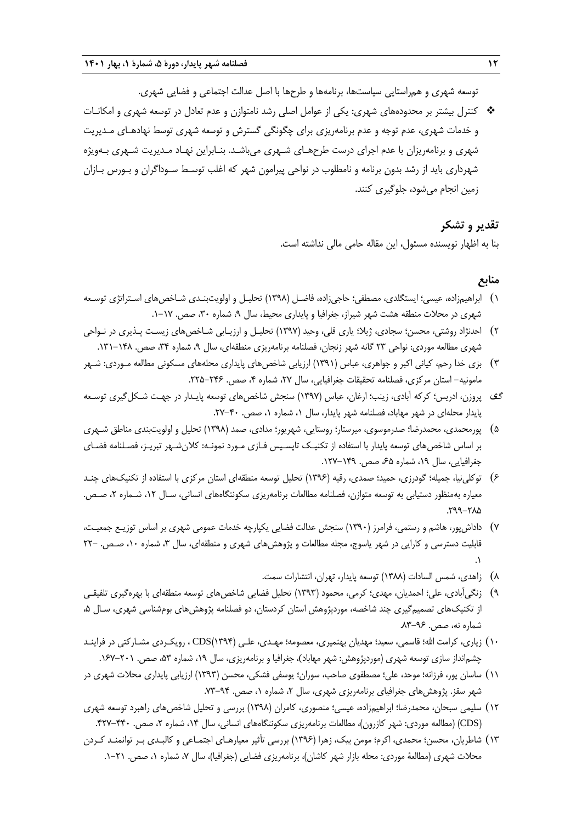توسعه شهری و همراستایی سیاستها، برنامهها و طرحها با اصل عدالت اجتماعی و فضایی شهری.

 کنترل بیشتر بر محدودههای شهری: یکی از عوامل اصلی رشد نامتوازن و عدم تعادل در توسعه شهری و امکانـات و خدمات شهری، عدم توجه و عدم برنامهریزی برای چگونگی گسترش و توسعه شهری توسط نهادهـای مـدیریت شهری و برنامهریزان با عدم اجرای درست طرحهـای شـهری میباشـد. بنـابراین نهـاد مـدیریت شـهری بـهویژه شهرداری باید از رشد بدون برنامه و نامطلوب در نواحی پیرامون شهر که اغلب توسـ سـوداگران و بـورس بـازان زمین انجام میشود، جلوگیری کنند.

# **تقدیر و تشکر**

بنا به اظهار نویسنده مسئول، این مقاله حامی مالی نداشته است.

### **منابع**

- 0( ابراهیمزاده، عیسی؛ ایستگلدی، مصطفی؛ حاجیزاده، فاضـل )0331( تحلیـل و اولویتبنـدی شـاخصهای اسـتراتژی توسـعه شهری در محلات منطقه هشت شهر شیراز، جغرافیا و پایداری محیط، سال ۹، شماره ۳۰، صص. ۱۷-۱.
- 5( احدنژاد روشتی، محسن؛ سجادی، ژیال؛ یاری قلی، وحید )0337( تحلیـل و ارزیـابی شـاخصهای زیسـت پـذیری در نـواحی شهری مطالعه موردی: نواحی ۲۳ گانه شهر زنجان، فصلنامه برنامهریزی منطقهای، سال ۹، شماره ۳۴، صص. ۱۴۸–۱۳۱.
- 3( بزی خدا رحم، کیانی اکبر و جواهری، عباس )0330( ارزیابی شاخصهای پایداری محلههای مسکونی مطالعه مـوردی: شـهر مامونیه- استان مرکزی، فصلنامه تحقیقات جغرافیایی، سال ۲۷، شماره ۴، صص. ۲۴۶-۲۲۵.
- گف پروزن، ادریس؛ کرکه آبادی، زینب؛ ارغان، عباس (۱۳۹۷) سنجش شاخصهای توسعه پایـدار در جهـت شـکل گیری توسـعه پایدار محلهای در شهر مهاباد، فصلنامه شهر پایدار، سال ۱، شماره ۱، صص. ۴۰-۲۷.
- 2( پورمحمدی، محمدرضا؛ صدرموسوی، میرستار؛ روستایی، شهریور؛ مدادی، صمد )0331( تحلیل و اولویتبندی مناطق شـهری بر اساس شاخصهای توسعه پایدار با استفاده از تکنیـک تاپسـیس فـازی مـورد نمونـه: کالنشـهر تبریـز، فصـلنامه فضـای جغرافیایی، سال ۱۹، شماره ۶۵، صص. ۱۴۹–۱۲۷.
- 1( توکلینیا، جمیله؛ گودرزی، حمید؛ صمدی، رقیه )0331( تحلیل توسعه منطقهای استان مرکزی با استفاده از تکنیکهای چنـد معیاره بهمنظور دستیابی به توسعه متوازن، فصلنامه مطالعات برنامهریزی سکونتگاههای انسانی، سـال ،05 شـماره ،5 صـص. .533-512
- 7( داداشپور، هاشم و رستمی، فرامرز )0331( سنجش عدالت فضایی یکپارچه خدمات عمومی شهری بر اساس توزیـع جمعیـت، قابلیت دسترسی و کارایی در شهر یاسوج، مجله مطالعات و پژوهشهای شهری و منطقهای، سال ۳، شماره ۱۰، صـص. -۲۲  $\cdot$ 
	- 1( زاهدی، شمس السادات )0311( توسعه پایدار، تهران، انتشارات سمت.
- 3( زنگیآبادی، علی؛ احمدیان، مهدی؛ کرمی، محمود )0333( تحلیل فضایی شاخصهای توسعه منطقهای با بهرهگیری تلفیقـی از تکنیکهای تصمیمگیری چند شاخصه، موردپژوهش استان کردستان، دو فصلنامه پژوهشهای بومشناسی شهری، سـال ۵، شماره نه، صص. ۹۶-۸۳.
- 01( زیاری، کرامت اهلل؛ قاسمی، سعید؛ مهدیان بهنمیری، معصومه؛ مهـدی، علـی )0331(CDS ، رویکـردی مشـارکتی در فراینـد چشم|نداز سازی توسعه شهری (موردپژوهش: شهر مهاباد)، جغرافیا و برنامهریزی، سال ۱۹، شماره ۵۳، صص. ۲۰۱–۱۶۷.
- 00( ساسان پور، فرزانه؛ موحد، علی؛ مصطفوی صاحب، سوران؛ یوسفی فشکی، محسن )0333( ارزیابی پایداری محالت شهری در شهر سقز. پژوهشهای جغرافیای برنامهریزی شهری، سال ۲، شماره ۱، صص. ۹۴-۷۳.
- 05( سلیمی سبحان، محمدرضا؛ ابراهیمزاده، عیسی؛ منصوری، کامران )0331( بررسی و تحلیل شاخصهای راهبرد توسعه شهری )CDS( )مطالعه موردی: شهر کازرون(، مطالعات برنامهریزی سکونتگاههای انسانی، سال ،01 شماره ،5 صص. .157-111
- 03( شاطریان، محسن؛ محمدی، اکرم؛ مومن بیک، زهرا )0331( بررسی تأثیر معیارهـای اجتمـاعی و کالبـدی بـر توانمنـد کـردن محلات شهری (مطالعۀ موردی: محله بازار شهر کاشان)، برنامهریزی فضایی (جغرافیا)، سال ۷، شماره ۱، صص. ۲۱–۱.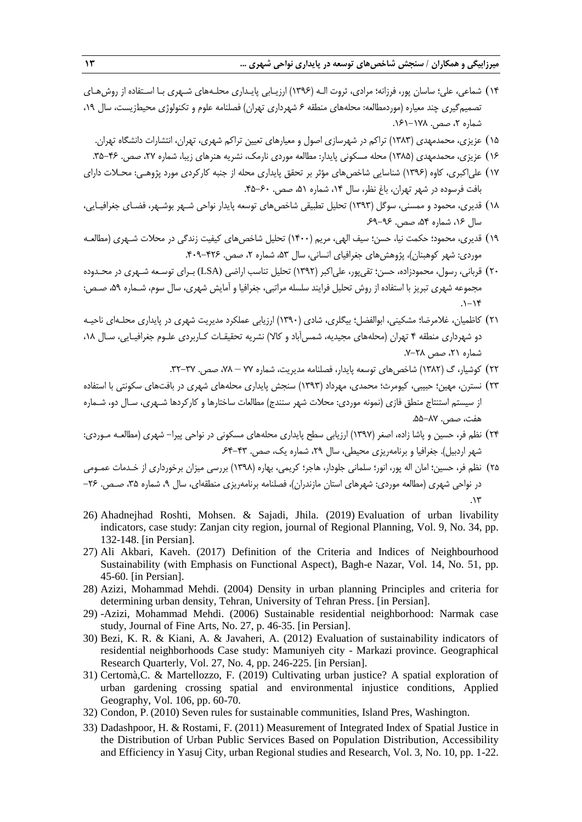- 01( شماعی، علی؛ ساسان پور، فرزانه؛ مرادی، ثروت الـه )0331( ارزیـابی پایـداری محلـههای شـهری بـا اسـتفاده از روشهـای تصمیمگیری چند معیاره (موردمطالعه: محلههای منطقه ۶ شهرداری تهران) فصلنامه علوم و تکنولوژی محیطزیست، سال ۱۹، شماره ۲، صص. ۱۷۸–۱۶۱.
	- 02( عزیزی، محمدمهدی )0313( تراکم در شهرسازی اصول و معیارهای تعیین تراکم شهری، تهران، انتشارات دانشگاه تهران.
	- 01( عزیزی، محمدمهدی )0312( محله مسکونی پایدار: مطالعه موردی نارمک، نشریه هنرهای زیبا، شماره ،57 صص. .32-11
- 07( علیاکبری، کاوه )0331( شناسایی شاخصهای مؤثر بر تحقق پایداری محله از جنبه کارکردی مورد پژوهـی: محـالت دارای بافت فرسوده در شهر تهران، باغ نظر، سال ،01 شماره ،20 صص. .12-11
- 01( قدیری، محمود و ممسنی، سوگل )0333( تحلیل تطبیقی شاخصهای توسعه پایدار نواحی شـهر بوشـهر، فضـای جغرافیـایی، سال ۱۶<sub>۴</sub>، شماره ۵۴، صص. ۹۶–۶۹.
- ١٩) قدیری، محمود؛ حکمت نیا، حسن؛ سیف الهی، مریم (١۴٠٠) تحلیل شاخصهای کیفیت زندگی در محلات شـهری (مطالعـه موردی: شهر کوهبنان)، پژوهش های جغرافیای انسانی، سال ۵۳، شماره ۲، صص. ۴۲۶–۴۰۹.
- 51( قربانی، رسول، محمودزاده، حسن؛ تقیپور، علیاکبر )0335( تحلیل تناسب اراضی (LSA (بـرای توسـعه شـهری در محـدوده مجموعه شهری تبریز با استفاده از روش تحلیل فرایند سلسله مراتبی، جغرافیا و آمایش شهری، سال سوم، شـماره ،23 صـص:  $.1 - 19$
- 50( کاظمیان، غالمرضا؛ مشکینی، ابوالفضل؛ بیگلری، شادی )0331( ارزیابی عملکرد مدیریت شهری در پایداری محلـهای ناحیـه دو شهرداری منطقه ۴ تهران (محلههای مجیدیه، شمس آباد و کالا) نشریه تحقیقـات کـاربردی علـوم جغرافیـایی، سـال ۱۸، شماره ۲۱، صص ۲۸-۷.
	- ۲۲) کوشیار، گ (۱۳۸۲) شاخصهای توسعه پایدار، فصلنامه مدیریت، شماره ۷۷ ۷۸، صص. ۳۲-۳۲.
- 53( نسترن، مهین؛ حبیبی، کیومرث؛ محمدی، مهرداد )0333( سنجش پایداری محلههای شهری در بافتهای سکونتی با استفاده از سیستم استنتاج منطق فازی )نمونه موردی: محالت شهر سنندج( مطالعات ساختارها و کارکردها شـهری، سـال دو، شـماره هفت، صص. .22-17
- 51( نظم فر، حسین و پاشا زاده، اصغر )0337( ارزیابی سطح پایداری محلههای مسکونی در نواحی پیرا- شهری )مطالعـه مـوردی: شهر اردبیل). جغرافیا و برنامهریزی محیطی، سال ۲۹، شماره یک، صص. ۴۳-۶۴.
- 52( نظم فر، حسین؛ امان اله پور، انور؛ سلمانی جلودار، هاجر؛ کریمی، بهاره )0331( بررسی میزان برخورداری از خـدمات عمـومی در نواحی شهری (مطالعه موردی: شهرهای استان مازندران)، فصلنامه برنامهریزی منطقهای، سال ۹، شماره ۳۵، صـص. ۲۶- $\mathcal{N}^{\mathcal{C}}$
- 26) Ahadnejhad Roshti, Mohsen. & Sajadi, Jhila. (2019) Evaluation of urban livability indicators, case study: Zanjan city region, journal of Regional Planning, Vol. 9, No. 34, pp. 132-148. [in Persian].
- 27) Ali Akbari, Kaveh. (2017) Definition of the Criteria and Indices of Neighbourhood Sustainability (with Emphasis on Functional Aspect), Bagh-e Nazar, Vol. 14, No. 51, pp. 45-60. [in Persian].
- 28) Azizi, Mohammad Mehdi. (2004) Density in urban planning Principles and criteria for determining urban density, Tehran, University of Tehran Press. [in Persian].
- 29) -Azizi, Mohammad Mehdi. (2006) Sustainable residential neighborhood: Narmak case study, Journal of Fine Arts, No. 27, p. 46-35. [in Persian].
- 30) Bezi, K. R. & Kiani, A. & Javaheri, A. (2012) Evaluation of sustainability indicators of residential neighborhoods Case study: Mamuniyeh city - Markazi province. Geographical Research Quarterly, Vol. 27, No. 4, pp. 246-225. [in Persian].
- 31) Certomà,C. & Martellozzo, F. (2019) Cultivating urban justice? A spatial exploration of urban gardening crossing spatial and environmental injustice conditions, Applied Geography, Vol. 106, pp. 60-70.
- 32) Condon, P. (2010) Seven rules for sustainable communities, Island Pres, Washington.
- 33) Dadashpoor, H. & Rostami, F. (2011) Measurement of Integrated Index of Spatial Justice in the Distribution of Urban Public Services Based on Population Distribution, Accessibility and Efficiency in Yasuj City, urban Regional studies and Research, Vol. 3, No. 10, pp. 1-22.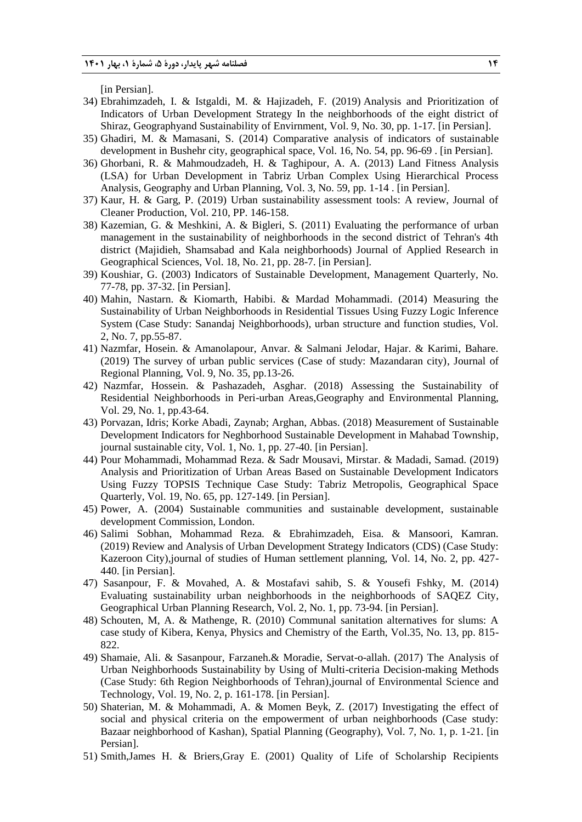[in Persian].

- 34) Ebrahimzadeh, I. & Istgaldi, M. & Hajizadeh, F. (2019) Analysis and Prioritization of Indicators of Urban Development Strategy In the neighborhoods of the eight district of Shiraz, Geographyand Sustainability of Envirnment, Vol. 9, No. 30, pp. 1-17. [in Persian].
- 35) Ghadiri, M. & Mamasani, S. (2014) Comparative analysis of indicators of sustainable development in Bushehr city, geographical space, Vol. 16, No. 54, pp. 96-69 . [in Persian].
- 36) Ghorbani, R. & Mahmoudzadeh, H. & Taghipour, A. A. (2013) Land Fitness Analysis (LSA) for Urban Development in Tabriz Urban Complex Using Hierarchical Process Analysis, Geography and Urban Planning, Vol. 3, No. 59, pp. 1-14 . [in Persian].
- 37) Kaur, H. & Garg, P. (2019) Urban sustainability assessment tools: A review, Journal of Cleaner Production, Vol. 210, PP. 146-158.
- 38) Kazemian, G. & Meshkini, A. & Bigleri, S. (2011) Evaluating the performance of urban management in the sustainability of neighborhoods in the second district of Tehran's 4th district (Majidieh, Shamsabad and Kala neighborhoods) Journal of Applied Research in Geographical Sciences, Vol. 18, No. 21, pp. 28-7. [in Persian].
- 39) Koushiar, G. (2003) Indicators of Sustainable Development, Management Quarterly, No. 77-78, pp. 37-32. [in Persian].
- 40) Mahin, Nastarn. & Kiomarth, Habibi. & Mardad Mohammadi. (2014) Measuring the Sustainability of Urban Neighborhoods in Residential Tissues Using Fuzzy Logic Inference System (Case Study: Sanandaj Neighborhoods), urban structure and function studies, Vol. 2, No. 7, pp.55-87.
- 41) Nazmfar, Hosein. & Amanolapour, Anvar. & Salmani Jelodar, Hajar. & Karimi, Bahare. (2019) The survey of urban public services (Case of study: Mazandaran city), Journal of Regional Planning, Vol. 9, No. 35, pp.13-26.
- 42) Nazmfar, Hossein. & Pashazadeh, Asghar. (2018) Assessing the Sustainability of Residential Neighborhoods in Peri-urban Areas,Geography and Environmental Planning, Vol. 29, No. 1, pp.43-64.
- 43) Porvazan, Idris; Korke Abadi, Zaynab; Arghan, Abbas. (2018) Measurement of Sustainable Development Indicators for Neghborhood Sustainable Development in Mahabad Township, journal sustainable city, Vol. 1, No. 1, pp. 27-40. [in Persian].
- 44) Pour Mohammadi, Mohammad Reza. & Sadr Mousavi, Mirstar. & Madadi, Samad. (2019) Analysis and Prioritization of Urban Areas Based on Sustainable Development Indicators Using Fuzzy TOPSIS Technique Case Study: Tabriz Metropolis, Geographical Space Quarterly, Vol. 19, No. 65, pp. 127-149. [in Persian].
- 45) Power, A. (2004) Sustainable communities and sustainable development, sustainable development Commission, London.
- 46) Salimi Sobhan, Mohammad Reza. & Ebrahimzadeh, Eisa. & Mansoori, Kamran. (2019) Review and Analysis of Urban Development Strategy Indicators (CDS) (Case Study: Kazeroon City),journal of studies of Human settlement planning, Vol. 14, No. 2, pp. 427- 440. [in Persian].
- 47) Sasanpour, F. & Movahed, A. & Mostafavi sahib, S. & Yousefi Fshky, M. (2014) Evaluating sustainability urban neighborhoods in the neighborhoods of SAQEZ City, Geographical Urban Planning Research, Vol. 2, No. 1, pp. 73-94. [in Persian].
- 48) Schouten, M, A. & Mathenge, R. (2010) Communal sanitation alternatives for slums: A case study of Kibera, Kenya, Physics and Chemistry of the Earth, Vol.35, No. 13, pp. 815- 822.
- 49) Shamaie, Ali. & Sasanpour, Farzaneh.& Moradie, Servat-o-allah. (2017) The Analysis of Urban Neighborhoods Sustainability by Using of Multi-criteria Decision-making Methods (Case Study: 6th Region Neighborhoods of Tehran),journal of Environmental Science and Technology, Vol. 19, No. 2, p. 161-178. [in Persian].
- 50) Shaterian, M. & Mohammadi, A. & Momen Beyk, Z. (2017) Investigating the effect of social and physical criteria on the empowerment of urban neighborhoods (Case study: Bazaar neighborhood of Kashan), Spatial Planning (Geography), Vol. 7, No. 1, p. 1-21. [in Persian].
- 51) Smith,James H. & Briers,Gray E. (2001) Quality of Life of Scholarship Recipients